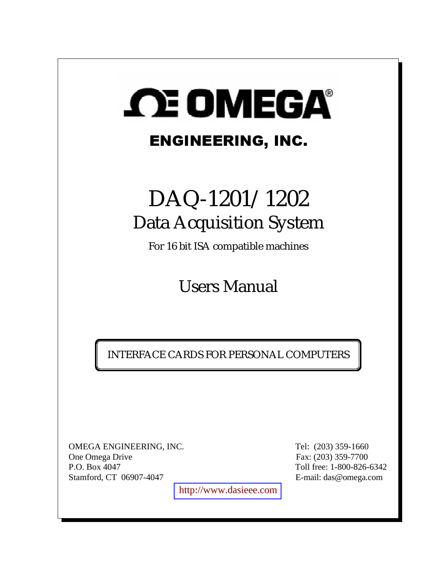# **SCE OMEGA®**

## ENGINEERING, INC.

## DAQ-1201/1202 Data Acquisition System

For 16 bit ISA compatible machines

Users Manual

INTERFACE CARDS FOR PERSONAL COMPUTERS

OMEGA ENGINEERING, INC. Tel: (203) 359-1660 One Omega Drive Fax: (203) 359-7700 P.O. Box 4047 Toll free: 1-800-826-6342 Stamford, CT 06907-4047 E-mail: das@omega.com

[http://www.dasieee.com](http://www.dasieee.com/)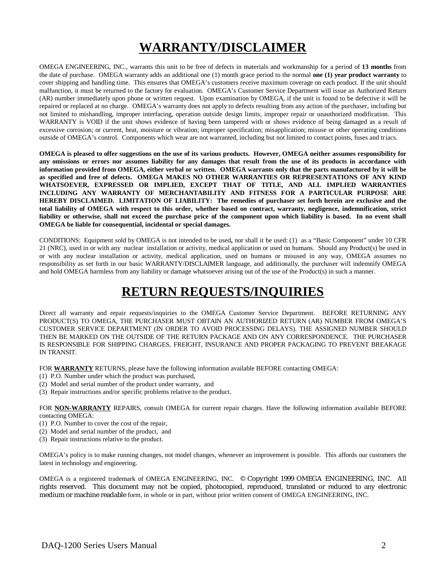### **WARRANTY/DISCLAIMER**

OMEGA ENGINEERING, INC., warrants this unit to be free of defects in materials and workmanship for a period of **13 months** from the date of purchase. OMEGA warranty adds an additional one (1) month grace period to the normal **one (1) year product warranty** to cover shipping and handling time. This ensures that OMEGA's customers receive maximum coverage on each product. If the unit should malfunction, it must be returned to the factory for evaluation. OMEGA's Customer Service Department will issue an Authorized Return (AR) number immediately upon phone or written request. Upon examination by OMEGA, if the unit is found to be defective it will be repaired or replaced at no charge. OMEGA's warranty does not apply to defects resulting from any action of the purchaser, including but not limited to mishandling, improper interfacing, operation outside design limits, improper repair or unauthorized modification. This WARRANTY is VOID if the unit shows evidence of having been tampered with or shows evidence of being damaged as a result of excessive corrosion; or current, heat, moisture or vibration; improper specification; misapplication; misuse or other operating conditions outside of OMEGA's control. Components which wear are not warranted, including but not limited to contact points, fuses and triacs.

**OMEGA is pleased to offer suggestions on the use of its various products. However, OMEGA neither assumes responsibility for any omissions or errors nor assumes liability for any damages that result from the use of its products in accordance with information provided from OMEGA, either verbal or written. OMEGA warrants only that the parts manufactured by it will be as specified and free of defects. OMEGA MAKES NO OTHER WARRANTIES OR REPRESENTATIONS OF ANY KIND WHATSOEVER, EXPRESSED OR IMPLIED, EXCEPT THAT OF TITLE, AND ALL IMPLIED WARRANTIES INCLUDING ANY WARRANTY OF MERCHANTABILITY AND FITNESS FOR A PARTICULAR PURPOSE ARE HEREBY DISCLAIMED. LIMITATION OF LIABILITY: The remedies of purchaser set forth herein are exclusive and the total liability of OMEGA with respect to this order, whether based on contract, warranty, negligence, indemnification, strict liability or otherwise, shall not exceed the purchase price of the component upon which liability is based. In no event shall OMEGA be liable for consequential, incidental or special damages.**

CONDITIONS: Equipment sold by OMEGA is not intended to be used**,** nor shall it be used: (1) as a "Basic Component" under 10 CFR 21 (NRC), used in or with any nuclear installation or activity, medical application or used on humans. Should any Product(s) be used in or with any nuclear installation or activity, medical application, used on humans or misused in any way, OMEGA assumes no responsibility as set forth in our basic WARRANTY/DISCLAIMER language, and additionally, the purchaser will indemnify OMEGA and hold OMEGA harmless from any liability or damage whatsoever arising out of the use of the Product(s) in such a manner.

#### **RETURN REQUESTS/INQUIRIES**

Direct all warranty and repair requests/inquiries to the OMEGA Customer Service Department. BEFORE RETURNING ANY PRODUCT(S) TO OMEGA, THE PURCHASER MUST OBTAIN AN AUTHORIZED RETURN (AR) NUMBER FROM OMEGA'S CUSTOMER SERVICE DEPARTMENT (IN ORDER TO AVOID PROCESSING DELAYS). THE ASSIGNED NUMBER SHOULD THEN BE MARKED ON THE OUTSIDE OF THE RETURN PACKAGE AND ON ANY CORRESPONDENCE. THE PURCHASER IS RESPONSIBLE FOR SHIPPING CHARGES, FREIGHT, INSURANCE AND PROPER PACKAGING TO PREVENT BREAKAGE IN TRANSIT.

FOR **WARRANTY** RETURNS, please have the following information available BEFORE contacting OMEGA:

- (1) P.O. Number under which the product was purchased,
- (2) Model and serial number of the product under warranty, and
- (3) Repair instructions and/or specific problems relative to the product.

FOR **NON-WARRANTY** REPAIRS, consult OMEGA for current repair charges. Have the following information available BEFORE contacting OMEGA:

- (1) P.O. Number to cover the cost of the repair,
- (2) Model and serial number of the product, and
- (3) Repair instructions relative to the product.

OMEGA's policy is to make running changes, not model changes, whenever an improvement is possible. This affords our customers the latest in technology and engineering.

OMEGA is a registered trademark of OMEGA ENGINEERING, INC. © Copyright 1999 OMEGA ENGINEERING, INC. All rights reserved. This document may not be copied, photocopied, reproduced, translated or reduced to any electronic medium or machine readable form, in whole or in part, without prior written consent of OMEGA ENGINEERING, INC.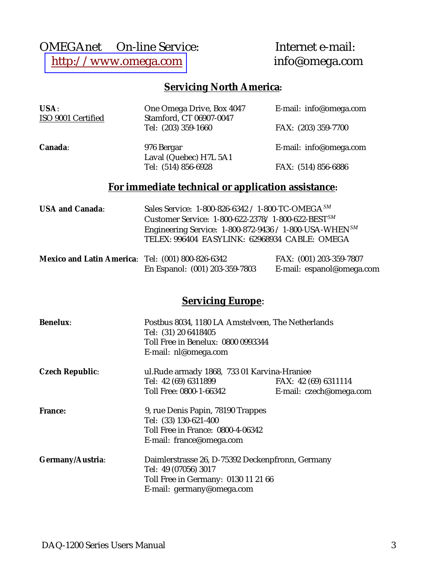### OMEGAnet<br>
© On-line Service: Internet e-mail:<br>
http://www.omega.com info@omega.com [http://www.omega.com](http://www.omega.com/)

#### **Servicing North America:**

| USA:<br>ISO 9001 Certified | One Omega Drive, Box 4047<br>Stamford, CT 06907-0047   | E-mail: info@omega.com |
|----------------------------|--------------------------------------------------------|------------------------|
|                            | Tel: (203) 359-1660                                    | FAX: (203) 359-7700    |
| Canada:                    | 976 Bergar<br>Laval (Quebec) H7L 5A1                   | E-mail: info@omega.com |
|                            | Tel: (514) 856-6928                                    | FAX: (514) 856-6886    |
|                            | For immediate technical or application assistance:     |                        |
| $IISA$ and $Canada$        | Sales Service: 1-800-826-6342 / 1-800-TC-OMEGA $^{SM}$ |                        |

| <b>USA and Canada:</b> | Sales Service: 1-800-826-6342 / 1-800-TC-OMEGA <sup>SM</sup>    |  |  |
|------------------------|-----------------------------------------------------------------|--|--|
|                        | Customer Service: 1-800-622-2378/1-800-622-BEST <sup>SM</sup>   |  |  |
|                        | Engineering Service: $1-800-872-9436 / 1-800$ -USA-WHEN $^{SM}$ |  |  |
|                        | TELEX: 996404 EASYLINK: 62968934 CABLE: OMEGA                   |  |  |
|                        |                                                                 |  |  |

| Mexico and Latin America: Tel: (001) 800-826-6342 |                                | FAX: (001) 203-359-7807   |  |
|---------------------------------------------------|--------------------------------|---------------------------|--|
|                                                   | En Espanol: (001) 203-359-7803 | E-mail: espanol@omega.com |  |

#### **Servicing Europe**:

| <b>Benelux:</b>           | Postbus 8034, 1180 LA Amstelveen, The Netherlands<br>Tel: (31) 20 6418405<br>Toll Free in Benelux: 0800 0993344 |                                             |  |  |
|---------------------------|-----------------------------------------------------------------------------------------------------------------|---------------------------------------------|--|--|
|                           | E-mail: nl@omega.com                                                                                            |                                             |  |  |
| <b>Czech Republic:</b>    |                                                                                                                 | ul.Rude armady 1868, 733 01 Karvina-Hraniee |  |  |
|                           | Tel: 42 (69) 6311899                                                                                            | FAX: 42 (69) 6311114                        |  |  |
|                           | Toll Free: 0800-1-66342                                                                                         | E-mail: czech@omega.com                     |  |  |
| <b>France:</b>            | 9, rue Denis Papin, 78190 Trappes                                                                               |                                             |  |  |
|                           | Tel: (33) 130-621-400                                                                                           |                                             |  |  |
|                           | Toll Free in France: 0800-4-06342                                                                               |                                             |  |  |
|                           | E-mail: france@omega.com                                                                                        |                                             |  |  |
| Germany/Austria:          | Daimlerstrasse 26, D-75392 Deckenpfronn, Germany                                                                |                                             |  |  |
|                           | Tel: 49 (07056) 3017                                                                                            |                                             |  |  |
|                           | Toll Free in Germany: 0130 11 21 66                                                                             |                                             |  |  |
| E-mail: germany@omega.com |                                                                                                                 |                                             |  |  |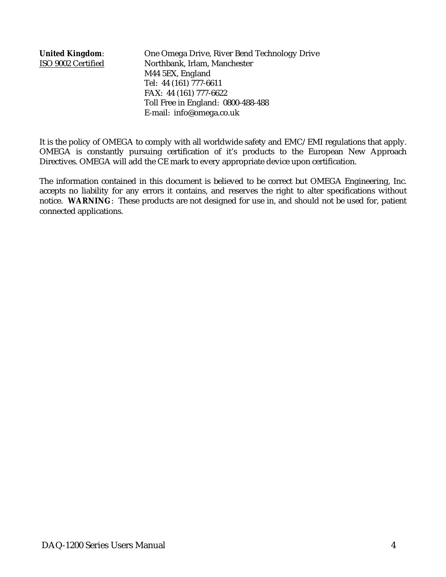**United Kingdom**: One Omega Drive, River Bend Technology Drive ISO 9002 Certified Northbank, Irlam, Manchester M44 5EX, England Tel: 44 (161) 777-6611 FAX: 44 (161) 777-6622 Toll Free in England: 0800-488-488 E-mail: info@omega.co.uk

It is the policy of OMEGA to comply with all worldwide safety and EMC/EMI regulations that apply. OMEGA is constantly pursuing certification of it's products to the European New Approach Directives. OMEGA will add the CE mark to every appropriate device upon certification.

The information contained in this document is believed to be correct but OMEGA Engineering, Inc. accepts no liability for any errors it contains, and reserves the right to alter specifications without notice. **WARNING**: These products are not designed for use in, and should not be used for, patient connected applications.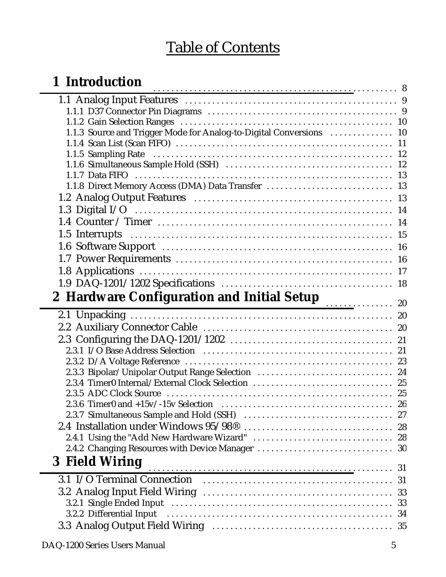## Table of Contents

| 1 Introduction                                                      |  |
|---------------------------------------------------------------------|--|
|                                                                     |  |
|                                                                     |  |
|                                                                     |  |
| 1.1.3 Source and Trigger Mode for Analog-to-Digital Conversions  10 |  |
|                                                                     |  |
|                                                                     |  |
|                                                                     |  |
| 1.1.8 Direct Memory Access (DMA) Data Transfer  13                  |  |
|                                                                     |  |
|                                                                     |  |
|                                                                     |  |
|                                                                     |  |
|                                                                     |  |
|                                                                     |  |
|                                                                     |  |
|                                                                     |  |
|                                                                     |  |
|                                                                     |  |
|                                                                     |  |
|                                                                     |  |
|                                                                     |  |
|                                                                     |  |
|                                                                     |  |
| 2.3.3 Bipolar/Unipolar Output Range Selection  24                   |  |
|                                                                     |  |
|                                                                     |  |
|                                                                     |  |
|                                                                     |  |
|                                                                     |  |
|                                                                     |  |
| 3 Field Wiring                                                      |  |
|                                                                     |  |
|                                                                     |  |
|                                                                     |  |
|                                                                     |  |
|                                                                     |  |
|                                                                     |  |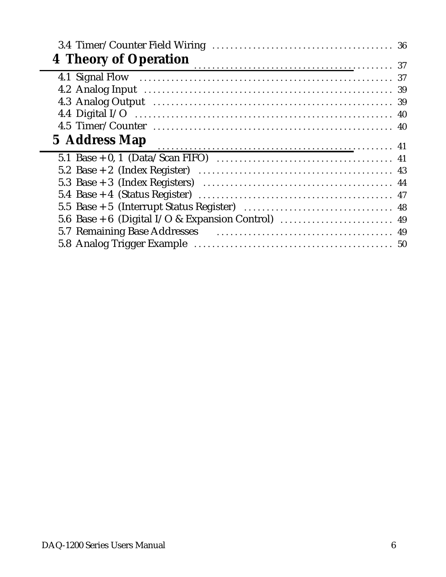| <b>4 Theory of Operation</b> |  |
|------------------------------|--|
|                              |  |
|                              |  |
|                              |  |
|                              |  |
|                              |  |
|                              |  |
| 5 Address Map                |  |
|                              |  |
|                              |  |
|                              |  |
|                              |  |
|                              |  |
|                              |  |
|                              |  |
|                              |  |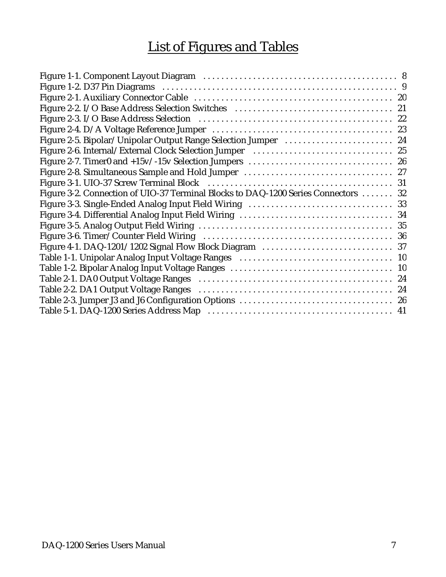## List of Figures and Tables

| Figure 2-6. Internal/External Clock Selection Jumper (all contracts) and the 25    |
|------------------------------------------------------------------------------------|
|                                                                                    |
|                                                                                    |
|                                                                                    |
| Figure 3-2. Connection of UIO-37 Terminal Blocks to DAQ-1200 Series Connectors  32 |
|                                                                                    |
|                                                                                    |
|                                                                                    |
|                                                                                    |
|                                                                                    |
|                                                                                    |
|                                                                                    |
|                                                                                    |
|                                                                                    |
|                                                                                    |
|                                                                                    |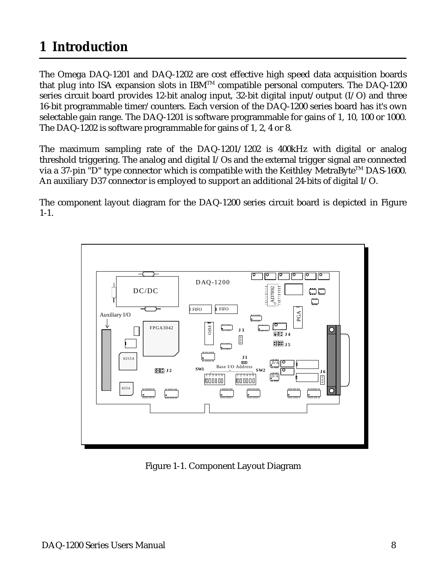## <span id="page-7-0"></span>**1 Introduction**

The Omega DAQ-1201 and DAQ-1202 are cost effective high speed data acquisition boards that plug into ISA expansion slots in IBM<sup>TM</sup> compatible personal computers. The DAQ-1200 series circuit board provides 12-bit analog input, 32-bit digital input/output (I/O) and three 16-bit programmable timer/counters. Each version of the DAQ-1200 series board has it's own selectable gain range. The DAQ-1201 is software programmable for gains of 1, 10, 100 or 1000. The DAQ-1202 is software programmable for gains of 1, 2, 4 or 8.

The maximum sampling rate of the DAQ-1201/1202 is 400kHz with digital or analog threshold triggering. The analog and digital I/Os and the external trigger signal are connected via a 37-pin "D" type connector which is compatible with the Keithley MetraByte<sup>TM</sup> DAS-1600. An auxiliary D37 connector is employed to support an additional 24-bits of digital I/O.

The component layout diagram for the DAQ-1200 series circuit board is depicted in Figure 1-1.



Figure 1-1. Component Layout Diagram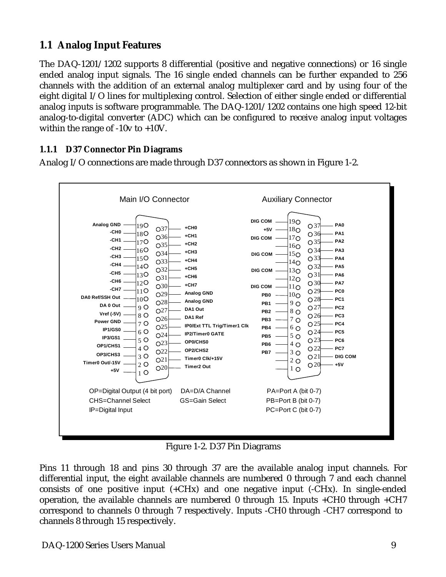#### <span id="page-8-0"></span>**1.1 Analog Input Features**

The DAQ-1201/1202 supports 8 differential (positive and negative connections) or 16 single ended analog input signals. The 16 single ended channels can be further expanded to 256 channels with the addition of an external analog multiplexer card and by using four of the eight digital I/O lines for multiplexing control. Selection of either single ended or differential analog inputs is software programmable. The DAQ-1201/1202 contains one high speed 12-bit analog-to-digital converter (ADC) which can be configured to receive analog input voltages within the range of -10v to +10V.

#### **1.1.1 D37 Connector Pin Diagrams**

Analog I/O connections are made through D37 connectors as shown in Figure 1-2.



Figure 1-2. D37 Pin Diagrams

Pins 11 through 18 and pins 30 through 37 are the available analog input channels. For differential input, the eight available channels are numbered 0 through 7 and each channel consists of one positive input (+CHx) and one negative input (-CHx). In single-ended operation, the available channels are numbered 0 through 15. Inputs +CH0 through +CH7 correspond to channels 0 through 7 respectively. Inputs -CH0 through -CH7 correspond to channels 8 through 15 respectively.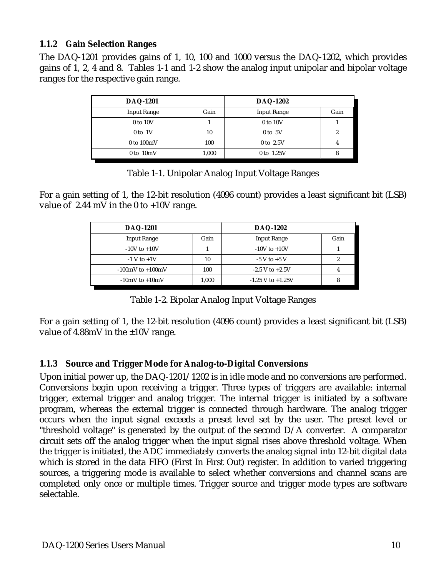#### **1.1.2 Gain Selection Ranges**

The DAQ-1201 provides gains of 1, 10, 100 and 1000 versus the DAQ-1202, which provides gains of 1, 2, 4 and 8. Tables 1-1 and 1-2 show the analog input unipolar and bipolar voltage ranges for the respective gain range.

| <b>DAQ-1201</b>    |       | <b>DAQ-1202</b>    |      |
|--------------------|-------|--------------------|------|
| <b>Input Range</b> | Gain  | <b>Input Range</b> | Gain |
| 0 to 10V           |       | 0 to 10V           |      |
| $0$ to $1V$        | 10    | $0$ to $5V$        | L    |
| $0$ to $100mV$     | 100   | $0$ to $2.5V$      |      |
| $0$ to $10mV$      | 1,000 | 0 to 1.25V         |      |

Table 1-1. Unipolar Analog Input Voltage Ranges

For a gain setting of 1, the 12-bit resolution (4096 count) provides a least significant bit (LSB) value of 2.44 mV in the 0 to +10V range.

| <b>DAQ-1201</b>                      |       | <b>DAQ-1202</b>        |      |
|--------------------------------------|-------|------------------------|------|
| <b>Input Range</b>                   | Gain  | <b>Input Range</b>     | Gain |
| $-10V$ to $+10V$                     |       | $-10V$ to $+10V$       |      |
| $-1$ V to $+1$ V                     | 10    | $-5$ V to $+5$ V       |      |
| $-100 \text{mV}$ to $+100 \text{mV}$ | 100   | $-2.5$ V to $+2.5$ V   |      |
| $-10mV$ to $+10mV$                   | 1,000 | $-1.25$ V to $+1.25$ V |      |

Table 1-2. Bipolar Analog Input Voltage Ranges

For a gain setting of 1, the 12-bit resolution (4096 count) provides a least significant bit (LSB) value of  $4.88$ mV in the  $\pm 10$ V range.

#### **1.1.3 Source and Trigger Mode for Analog-to-Digital Conversions**

Upon initial power up, the DAQ-1201/1202 is in idle mode and no conversions are performed. Conversions begin upon receiving a trigger. Three types of triggers are available: internal trigger, external trigger and analog trigger. The internal trigger is initiated by a software program, whereas the external trigger is connected through hardware. The analog trigger occurs when the input signal exceeds a preset level set by the user. The preset level or "threshold voltage" is generated by the output of the second D/A converter. A comparator circuit sets off the analog trigger when the input signal rises above threshold voltage. When the trigger is initiated, the ADC immediately converts the analog signal into 12-bit digital data which is stored in the data FIFO (First In First Out) register. In addition to varied triggering sources, a triggering mode is available to select whether conversions and channel scans are completed only once or multiple times. Trigger source and trigger mode types are software selectable.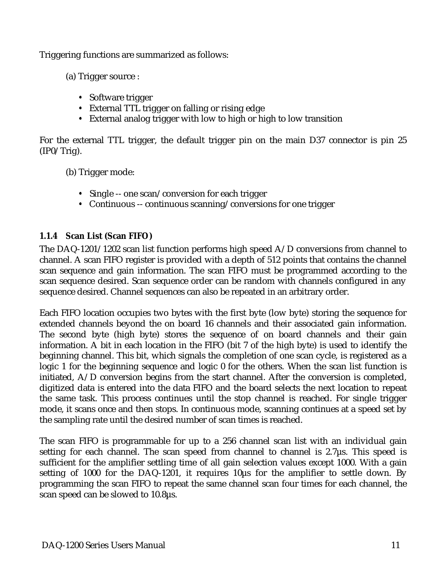Triggering functions are summarized as follows:

(a) Trigger source :

- Software trigger
- External TTL trigger on falling or rising edge y
- External analog trigger with low to high or high to low transition

For the external TTL trigger, the default trigger pin on the main D37 connector is pin 25  $(IP0/Trig).$ 

(b) Trigger mode:

- Single -- one scan/conversion for each trigger
- Continuous -- continuous scanning/conversions for one trigger

#### **1.1.4 Scan List (Scan FIFO)**

The DAQ-1201/1202 scan list function performs high speed A/D conversions from channel to channel. A scan FIFO register is provided with a depth of 512 points that contains the channel scan sequence and gain information. The scan FIFO must be programmed according to the scan sequence desired. Scan sequence order can be random with channels configured in any sequence desired. Channel sequences can also be repeated in an arbitrary order.

Each FIFO location occupies two bytes with the first byte (low byte) storing the sequence for extended channels beyond the on board 16 channels and their associated gain information. The second byte (high byte) stores the sequence of on board channels and their gain information. A bit in each location in the FIFO (bit 7 of the high byte) is used to identify the beginning channel. This bit, which signals the completion of one scan cycle, is registered as a logic 1 for the beginning sequence and logic 0 for the others. When the scan list function is initiated, A/D conversion begins from the start channel. After the conversion is completed, digitized data is entered into the data FIFO and the board selects the next location to repeat the same task. This process continues until the stop channel is reached. For single trigger mode, it scans once and then stops. In continuous mode, scanning continues at a speed set by the sampling rate until the desired number of scan times is reached.

The scan FIFO is programmable for up to a 256 channel scan list with an individual gain setting for each channel. The scan speed from channel to channel is  $2.7\mu s$ . This speed is sufficient for the amplifier settling time of all gain selection values except 1000. With a gain setting of 1000 for the DAQ-1201, it requires 10µs for the amplifier to settle down. By programming the scan FIFO to repeat the same channel scan four times for each channel, the scan speed can be slowed to 10.8µs.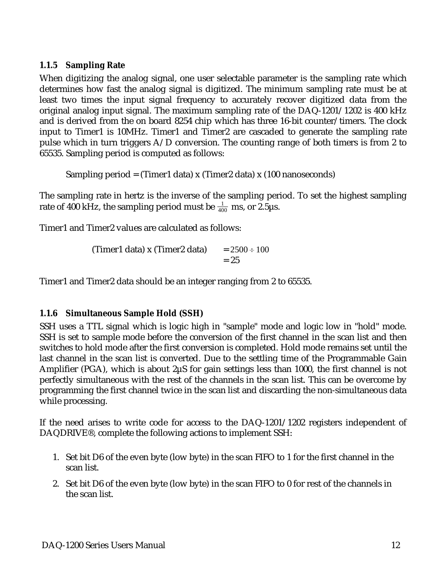#### **1.1.5 Sampling Rate**

When digitizing the analog signal, one user selectable parameter is the sampling rate which determines how fast the analog signal is digitized. The minimum sampling rate must be at least two times the input signal frequency to accurately recover digitized data from the original analog input signal. The maximum sampling rate of the DAQ-1201/1202 is 400 kHz and is derived from the on board 8254 chip which has three 16-bit counter/timers. The clock input to Timer1 is 10MHz. Timer1 and Timer2 are cascaded to generate the sampling rate pulse which in turn triggers A/D conversion. The counting range of both timers is from 2 to 65535. Sampling period is computed as follows:

Sampling period = (Timer1 data) x (Timer2 data) x (100 nanoseconds)

The sampling rate in hertz is the inverse of the sampling period. To set the highest sampling rate of 400 kHz, the sampling period must be  $\frac{1}{400}$  ms, or 2.5µs.

Timer1 and Timer2 values are calculated as follows:

(Timer1 data) x (Timer2 data)  $= 2500 \div 100$  $= 25$ 

Timer1 and Timer2 data should be an integer ranging from 2 to 65535.

#### **1.1.6 Simultaneous Sample Hold (SSH)**

SSH uses a TTL signal which is logic high in "sample" mode and logic low in "hold" mode. SSH is set to sample mode before the conversion of the first channel in the scan list and then switches to hold mode after the first conversion is completed. Hold mode remains set until the last channel in the scan list is converted. Due to the settling time of the Programmable Gain Amplifier (PGA), which is about 2µS for gain settings less than 1000, the first channel is not perfectly simultaneous with the rest of the channels in the scan list. This can be overcome by programming the first channel twice in the scan list and discarding the non-simultaneous data while processing.

If the need arises to write code for access to the DAQ-1201/1202 registers independent of DAQDRIVE®, complete the following actions to implement SSH:

- 1. Set bit D6 of the even byte (low byte) in the scan FIFO to 1 for the first channel in the scan list.
- 2. Set bit D6 of the even byte (low byte) in the scan FIFO to 0 for rest of the channels in the scan list.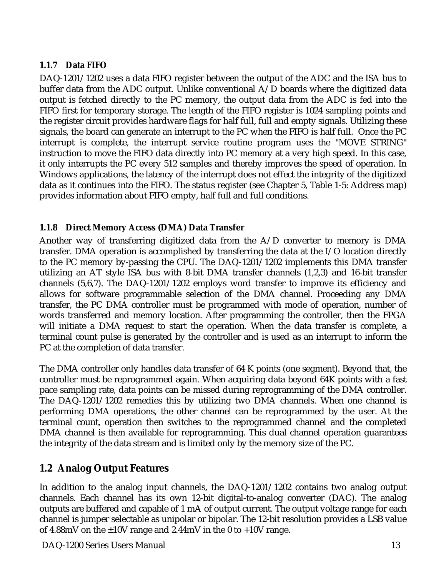#### **1.1.7 Data FIFO**

DAQ-1201/1202 uses a data FIFO register between the output of the ADC and the ISA bus to buffer data from the ADC output. Unlike conventional A/D boards where the digitized data output is fetched directly to the PC memory, the output data from the ADC is fed into the FIFO first for temporary storage. The length of the FIFO register is 1024 sampling points and the register circuit provides hardware flags for half full, full and empty signals. Utilizing these signals, the board can generate an interrupt to the PC when the FIFO is half full. Once the PC interrupt is complete, the interrupt service routine program uses the "MOVE STRING" instruction to move the FIFO data directly into PC memory at a very high speed. In this case, it only interrupts the PC every 512 samples and thereby improves the speed of operation. In Windows applications, the latency of the interrupt does not effect the integrity of the digitized data as it continues into the FIFO. The status register (see Chapter 5, Table 1-5: Address map) provides information about FIFO empty, half full and full conditions.

#### **1.1.8 Direct Memory Access (DMA) Data Transfer**

Another way of transferring digitized data from the A/D converter to memory is DMA transfer. DMA operation is accomplished by transferring the data at the I/O location directly to the PC memory by-passing the CPU. The DAQ-1201/1202 implements this DMA transfer utilizing an AT style ISA bus with 8-bit DMA transfer channels (1,2,3) and 16-bit transfer channels (5,6,7). The DAQ-1201/1202 employs word transfer to improve its efficiency and allows for software programmable selection of the DMA channel. Proceeding any DMA transfer, the PC DMA controller must be programmed with mode of operation, number of words transferred and memory location. After programming the controller, then the FPGA will initiate a DMA request to start the operation. When the data transfer is complete, a terminal count pulse is generated by the controller and is used as an interrupt to inform the PC at the completion of data transfer.

The DMA controller only handles data transfer of 64 K points (one segment). Beyond that, the controller must be reprogrammed again. When acquiring data beyond 64K points with a fast pace sampling rate, data points can be missed during reprogramming of the DMA controller. The DAQ-1201/1202 remedies this by utilizing two DMA channels. When one channel is performing DMA operations, the other channel can be reprogrammed by the user. At the terminal count, operation then switches to the reprogrammed channel and the completed DMA channel is then available for reprogramming. This dual channel operation guarantees the integrity of the data stream and is limited only by the memory size of the PC.

#### **1.2 Analog Output Features**

In addition to the analog input channels, the DAQ-1201/1202 contains two analog output channels. Each channel has its own 12-bit digital-to-analog converter (DAC). The analog outputs are buffered and capable of 1 mA of output current. The output voltage range for each channel is jumper selectable as unipolar or bipolar. The 12-bit resolution provides a LSB value of 4.88mV on the  $\pm 10V$  range and 2.44mV in the 0 to  $+10V$  range.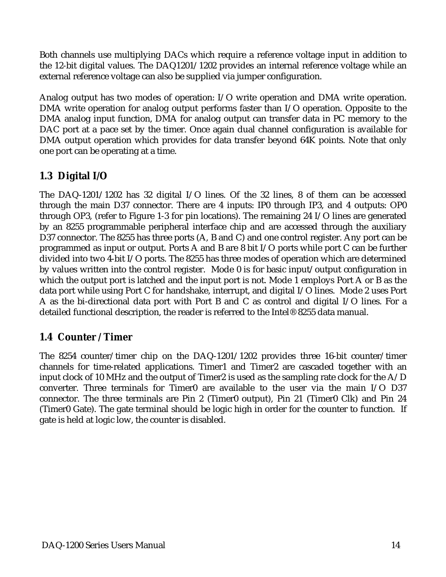Both channels use multiplying DACs which require a reference voltage input in addition to the 12-bit digital values. The DAQ1201/1202 provides an internal reference voltage while an external reference voltage can also be supplied via jumper configuration.

Analog output has two modes of operation: I/O write operation and DMA write operation. DMA write operation for analog output performs faster than I/O operation. Opposite to the DMA analog input function, DMA for analog output can transfer data in PC memory to the DAC port at a pace set by the timer. Once again dual channel configuration is available for DMA output operation which provides for data transfer beyond 64K points. Note that only one port can be operating at a time.

#### **1.3 Digital I/O**

The DAQ-1201/1202 has 32 digital I/O lines. Of the 32 lines, 8 of them can be accessed through the main D37 connector. There are 4 inputs: IP0 through IP3, and 4 outputs: OP0 through OP3, (refer to Figure 1-3 for pin locations). The remaining 24 I/O lines are generated by an 8255 programmable peripheral interface chip and are accessed through the auxiliary D37 connector. The 8255 has three ports (A, B and C) and one control register. Any port can be programmed as input or output. Ports A and B are 8 bit I/O ports while port C can be further divided into two 4-bit I/O ports. The 8255 has three modes of operation which are determined by values written into the control register. Mode 0 is for basic input/output configuration in which the output port is latched and the input port is not. Mode 1 employs Port A or B as the data port while using Port C for handshake, interrupt, and digital I/O lines. Mode 2 uses Port A as the bi-directional data port with Port B and C as control and digital I/O lines. For a detailed functional description, the reader is referred to the Intel® 8255 data manual.

#### **1.4 Counter / Timer**

The 8254 counter/timer chip on the DAQ-1201/1202 provides three 16-bit counter/timer channels for time-related applications. Timer1 and Timer2 are cascaded together with an input clock of 10 MHz and the output of Timer2 is used as the sampling rate clock for the A/D converter. Three terminals for Timer0 are available to the user via the main I/O D37 connector. The three terminals are Pin 2 (Timer0 output), Pin 21 (Timer0 Clk) and Pin 24 (Timer0 Gate). The gate terminal should be logic high in order for the counter to function. If gate is held at logic low, the counter is disabled.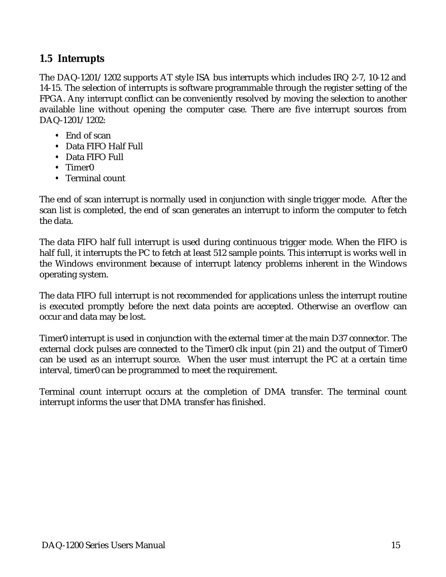#### **1.5 Interrupts**

The DAQ-1201/1202 supports AT style ISA bus interrupts which includes IRQ 2-7, 10-12 and 14-15. The selection of interrupts is software programmable through the register setting of the FPGA. Any interrupt conflict can be conveniently resolved by moving the selection to another available line without opening the computer case. There are five interrupt sources from DAQ-1201/1202:

- y• End of scan
- Data FIFO Half Full
- Data FIFO Full
- Timer<sub>0</sub>
- Terminal count

The end of scan interrupt is normally used in conjunction with single trigger mode. After the scan list is completed, the end of scan generates an interrupt to inform the computer to fetch the data.

The data FIFO half full interrupt is used during continuous trigger mode. When the FIFO is half full, it interrupts the PC to fetch at least 512 sample points. This interrupt is works well in the Windows environment because of interrupt latency problems inherent in the Windows operating system.

The data FIFO full interrupt is not recommended for applications unless the interrupt routine is executed promptly before the next data points are accepted. Otherwise an overflow can occur and data may be lost.

Timer0 interrupt is used in conjunction with the external timer at the main D37 connector. The external clock pulses are connected to the Timer0 clk input (pin 21) and the output of Timer0 can be used as an interrupt source. When the user must interrupt the PC at a certain time interval, timer0 can be programmed to meet the requirement.

Terminal count interrupt occurs at the completion of DMA transfer. The terminal count interrupt informs the user that DMA transfer has finished.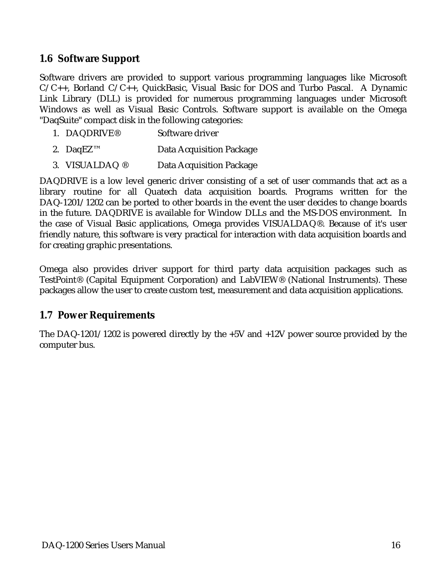#### **1.6 Software Support**

Software drivers are provided to support various programming languages like Microsoft C/C++, Borland C/C++, QuickBasic, Visual Basic for DOS and Turbo Pascal. A Dynamic Link Library (DLL) is provided for numerous programming languages under Microsoft Windows as well as Visual Basic Controls. Software support is available on the Omega "DaqSuite" compact disk in the following categories:

- 1. DAQDRIVE® Software driver
- 2. DaqEZ™ Data Acquisition Package
- 3. VISUALDAQ ® Data Acquisition Package

DAQDRIVE is a low level generic driver consisting of a set of user commands that act as a library routine for all Quatech data acquisition boards. Programs written for the DAQ-1201/1202 can be ported to other boards in the event the user decides to change boards in the future. DAQDRIVE is available for Window DLLs and the MS-DOS environment. In the case of Visual Basic applications, Omega provides VISUALDAQ®. Because of it's user friendly nature, this software is very practical for interaction with data acquisition boards and for creating graphic presentations.

Omega also provides driver support for third party data acquisition packages such as TestPoint® (Capital Equipment Corporation) and LabVIEW® (National Instruments). These packages allow the user to create custom test, measurement and data acquisition applications.

#### **1.7 Power Requirements**

The DAQ-1201/1202 is powered directly by the +5V and +12V power source provided by the computer bus.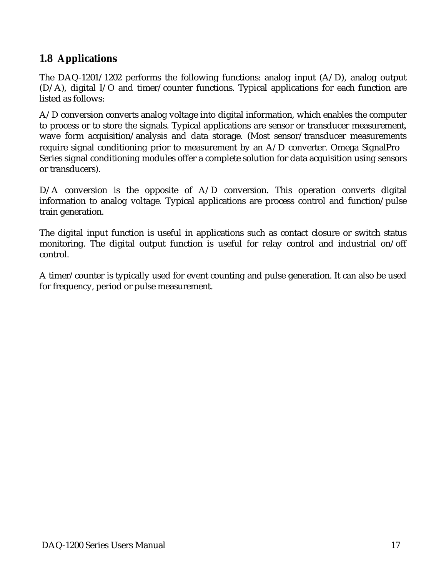#### **1.8 Applications**

The DAQ-1201/1202 performs the following functions: analog input  $(A/D)$ , analog output (D/A), digital I/O and timer/counter functions. Typical applications for each function are listed as follows:

A/D conversion converts analog voltage into digital information, which enables the computer to process or to store the signals. Typical applications are sensor or transducer measurement, wave form acquisition/analysis and data storage. (Most sensor/transducer measurements require signal conditioning prior to measurement by an A/D converter. Omega SignalPro<sup>®</sup> Series signal conditioning modules offer a complete solution for data acquisition using sensors or transducers).

D/A conversion is the opposite of A/D conversion. This operation converts digital information to analog voltage. Typical applications are process control and function/pulse train generation.

The digital input function is useful in applications such as contact closure or switch status monitoring. The digital output function is useful for relay control and industrial on/off control.

A timer/counter is typically used for event counting and pulse generation. It can also be used for frequency, period or pulse measurement.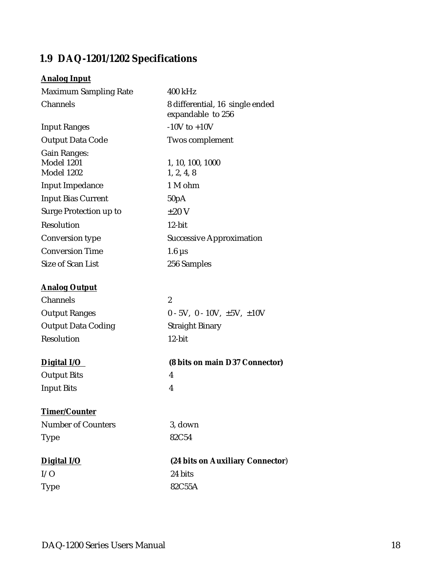#### **1.9 DAQ-1201/1202 Specifications**

#### **Analog Input**

| <b>Maximum Sampling Rate</b>                                  | 400 kHz                                              |
|---------------------------------------------------------------|------------------------------------------------------|
| Channels                                                      | 8 differential, 16 single ended<br>expandable to 256 |
| <b>Input Ranges</b>                                           | $-10V$ to $+10V$                                     |
| <b>Output Data Code</b>                                       | <b>Twos complement</b>                               |
| <b>Gain Ranges:</b><br><b>Model 1201</b><br><b>Model 1202</b> | 1, 10, 100, 1000<br>1, 2, 4, 8                       |
| <b>Input Impedance</b>                                        | 1 M ohm                                              |
| <b>Input Bias Current</b>                                     | 50pA                                                 |
| Surge Protection up to                                        | $\pm 20$ V                                           |
| Resolution                                                    | 12-bit                                               |
| <b>Conversion type</b>                                        | <b>Successive Approximation</b>                      |
| <b>Conversion Time</b>                                        | $1.6 \mu s$                                          |
| <b>Size of Scan List</b>                                      | 256 Samples                                          |
| <b>Analog Output</b>                                          |                                                      |
| Channels                                                      | $\boldsymbol{2}$                                     |
| <b>Output Ranges</b>                                          | $0 - 5V$ , $0 - 10V$ , $\pm 5V$ , $\pm 10V$          |
| <b>Output Data Coding</b>                                     | <b>Straight Binary</b>                               |
| <b>Resolution</b>                                             | 12-bit                                               |
| Digital I/O                                                   | (8 bits on main D37 Connector)                       |
| <b>Output Bits</b>                                            | 4                                                    |
| <b>Input Bits</b>                                             | 4                                                    |
| Timer/Counter                                                 |                                                      |
| <b>Number of Counters</b>                                     | 3, down                                              |
| <b>Type</b>                                                   | 82C54                                                |
| Digital I/O                                                   | (24 bits on Auxiliary Connector)                     |
| I/O                                                           | 24 bits                                              |
| <b>Type</b>                                                   | 82C55A                                               |
|                                                               |                                                      |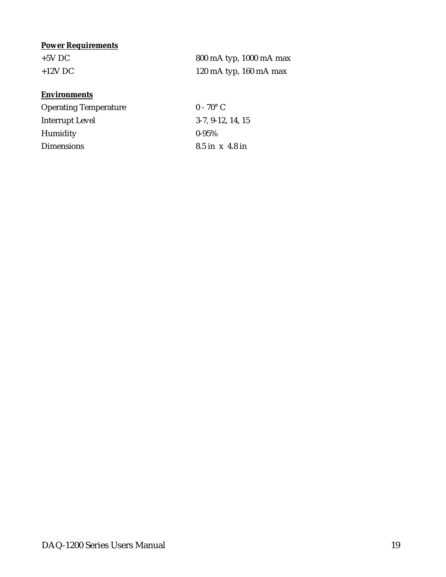#### **Power Requirements**

| $+5V$ DC  | 800 mA typ, 1000 mA max  |
|-----------|--------------------------|
| $+12V$ DC | 120 mA typ, $160$ mA max |

#### **Environments**

| <b>Operating Temperature</b> | $0 - 70^{\circ}$ C  |
|------------------------------|---------------------|
| Interrupt Level              | $3-7, 9-12, 14, 15$ |
| <b>Humidity</b>              | $0 - 95\%$          |
| <b>Dimensions</b>            | $8.5$ in x 4.8 in   |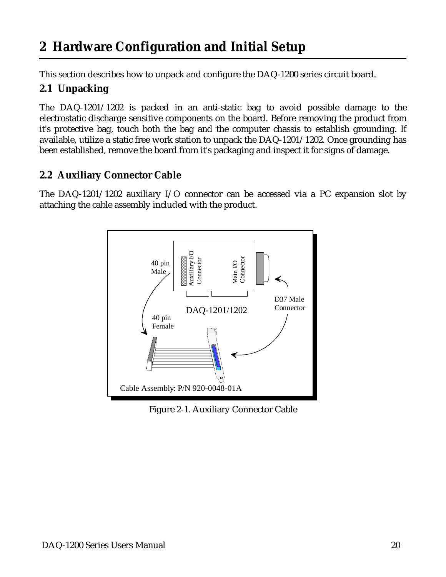## <span id="page-19-0"></span>**2 Hardware Configuration and Initial Setup**

This section describes how to unpack and configure the DAQ-1200 series circuit board.

#### **2.1 Unpacking**

The DAQ-1201/1202 is packed in an anti-static bag to avoid possible damage to the electrostatic discharge sensitive components on the board. Before removing the product from it's protective bag, touch both the bag and the computer chassis to establish grounding. If available, utilize a static free work station to unpack the DAQ-1201/1202. Once grounding has been established, remove the board from it's packaging and inspect it for signs of damage.

#### **2.2 Auxiliary Connector Cable**

The DAQ-1201/1202 auxiliary I/O connector can be accessed via a PC expansion slot by attaching the cable assembly included with the product.



Figure 2-1. Auxiliary Connector Cable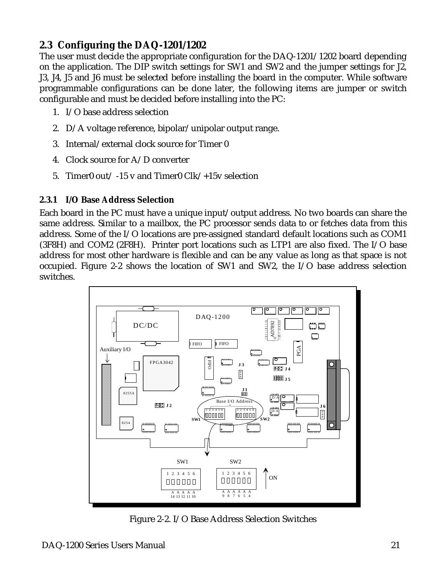#### <span id="page-20-0"></span>**2.3 Configuring the DAQ-1201/1202**

The user must decide the appropriate configuration for the DAQ-1201/1202 board depending on the application. The DIP switch settings for SW1 and SW2 and the jumper settings for J2, J3, J4, J5 and J6 must be selected before installing the board in the computer. While software programmable configurations can be done later, the following items are jumper or switch configurable and must be decided before installing into the PC:

- 1. I/O base address selection
- 2. D/A voltage reference, bipolar/unipolar output range.
- 3. Internal/external clock source for Timer 0
- 4. Clock source for A/D converter
- 5. Timer0 out/ -15 v and Timer0 Clk/+15v selection

#### **2.3.1 I/O Base Address Selection**

Each board in the PC must have a unique input/output address. No two boards can share the same address. Similar to a mailbox, the PC processor sends data to or fetches data from this address. Some of the I/O locations are pre-assigned standard default locations such as COM1 (3F8H) and COM2 (2F8H). Printer port locations such as LTP1 are also fixed. The I/O base address for most other hardware is flexible and can be any value as long as that space is not occupied. Figure 2-2 shows the location of SW1 and SW2, the I/O base address selection switches.



Figure 2-2. I/O Base Address Selection Switches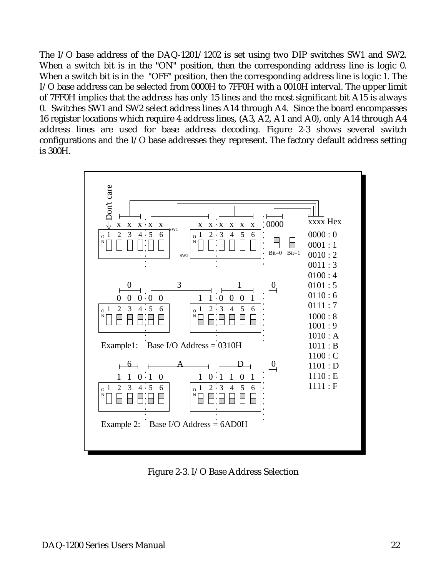The I/O base address of the DAQ-1201/1202 is set using two DIP switches SW1 and SW2. When a switch bit is in the "ON" position, then the corresponding address line is logic 0. When a switch bit is in the "OFF" position, then the corresponding address line is logic 1. The I/O base address can be selected from 0000H to 7FF0H with a 0010H interval. The upper limit of 7FF0H implies that the address has only 15 lines and the most significant bit A15 is always 0. Switches SW1 and SW2 select address lines A14 through A4. Since the board encompasses 16 register locations which require 4 address lines, (A3, A2, A1 and A0), only A14 through A4 address lines are used for base address decoding. Figure 2-3 shows several switch configurations and the I/O base addresses they represent. The factory default address setting is 300H.



Figure 2-3. I/O Base Address Selection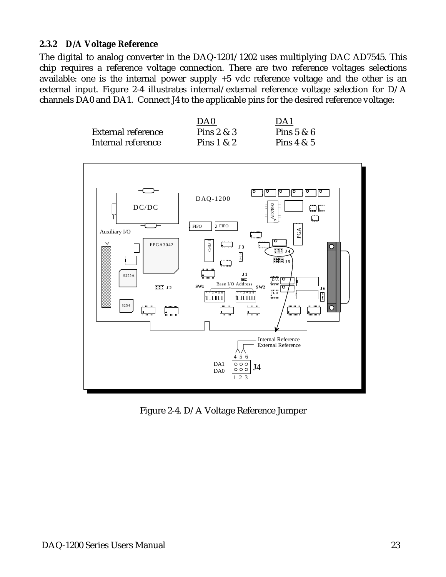#### **2.3.2 D/A Voltage Reference**

The digital to analog converter in the DAQ-1201/1202 uses multiplying DAC AD7545. This chip requires a reference voltage connection. There are two reference voltages selections available: one is the internal power supply +5 vdc reference voltage and the other is an external input. Figure 2-4 illustrates internal/external reference voltage selection for D/A channels DA0 and DA1. Connect J4 to the applicable pins for the desired reference voltage:

|                           | DA <sub>0</sub> | DA1          |
|---------------------------|-----------------|--------------|
| <b>External reference</b> | Pins $2 & 3$    | Pins $5 & 6$ |
| Internal reference        | Pins $1 & 2$    | Pins $4 & 5$ |



Figure 2-4. D/A Voltage Reference Jumper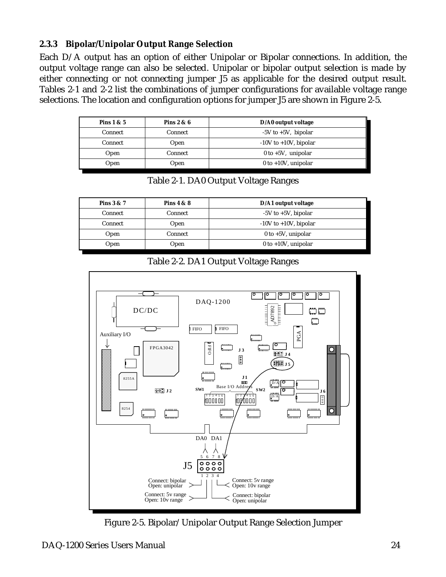#### **2.3.3 Bipolar/Unipolar Output Range Selection**

Each D/A output has an option of either Unipolar or Bipolar connections. In addition, the output voltage range can also be selected. Unipolar or bipolar output selection is made by either connecting or not connecting jumper J5 as applicable for the desired output result. Tables 2-1 and 2-2 list the combinations of jumper configurations for available voltage range selections. The location and configuration options for jumper J5 are shown in Figure 2-5.

| Pins $1 & 5$ | Pins $2 & 6$ | D/A0 output voltage        |
|--------------|--------------|----------------------------|
| Connect      | Connect      | $-5V$ to $+5V$ , bipolar   |
| Connect      | Open         | $-10V$ to $+10V$ , bipolar |
| Open         | Connect      | $0$ to $+5V$ , unipolar    |
| Open         | Open         | $0$ to +10V, unipolar      |

Table 2-1. DA0 Output Voltage Ranges

| Pins $3 & 7$ | Pins $4 & 8$ | D/A1 output voltage        |
|--------------|--------------|----------------------------|
| Connect      | Connect      | $-5V$ to $+5V$ , bipolar   |
| Connect      | Open         | $-10V$ to $+10V$ , bipolar |
| Open         | Connect      | 0 to $+5V$ , unipolar      |
| Open         | Open         | $0$ to +10V, unipolar      |





Figure 2-5. Bipolar/Unipolar Output Range Selection Jumper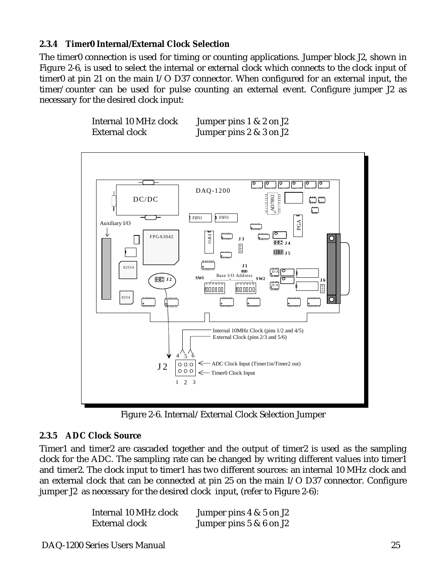#### **2.3.4 Timer0 Internal/External Clock Selection**

The timer0 connection is used for timing or counting applications. Jumper block J2, shown in Figure 2-6, is used to select the internal or external clock which connects to the clock input of timer0 at pin 21 on the main I/O D37 connector. When configured for an external input, the timer/counter can be used for pulse counting an external event. Configure jumper J2 as necessary for the desired clock input:





Figure 2-6. Internal/External Clock Selection Jumper

#### **2.3.5 ADC Clock Source**

Timer1 and timer2 are cascaded together and the output of timer2 is used as the sampling clock for the ADC. The sampling rate can be changed by writing different values into timer1 and timer2. The clock input to timer1 has two different sources: an internal 10 MHz clock and an external clock that can be connected at pin 25 on the main I/O D37 connector. Configure jumper J2 as necessary for the desired clock input, (refer to Figure 2-6):

| Internal 10 MHz clock | Jumper pins $4 \& 5$ on J2 |
|-----------------------|----------------------------|
| External clock        | Jumper pins $5 & 6$ on J2  |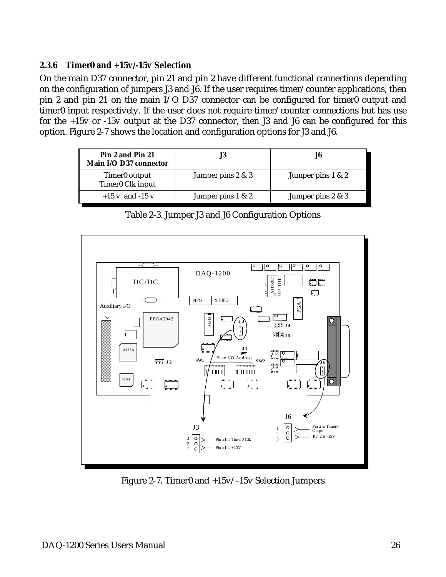#### **2.3.6 Timer0 and +15v/-15v Selection**

On the main D37 connector, pin 21 and pin 2 have different functional connections depending on the configuration of jumpers J3 and J6. If the user requires timer/counter applications, then pin 2 and pin 21 on the main I/O D37 connector can be configured for timer0 output and timer0 input respectively. If the user does not require timer/counter connections but has use for the +15v or -15v output at the D37 connector, then J3 and J6 can be configured for this option. Figure 2-7 shows the location and configuration options for J3 and J6.

| Pin 2 and Pin 21<br>Main I/O D37 connector                |                   | J6                   |
|-----------------------------------------------------------|-------------------|----------------------|
| Timer <sub>0</sub> output<br>Timer <sub>0</sub> Clk input | Jumper pins 2 & 3 | Jumper pins $1 \& 2$ |
| $+15$ v and $-15$ v                                       | Jumper pins 1 & 2 | Jumper pins 2 & 3    |

Table 2-3. Jumper J3 and J6 Configuration Options



Figure 2-7. Timer0 and +15v/-15v Selection Jumpers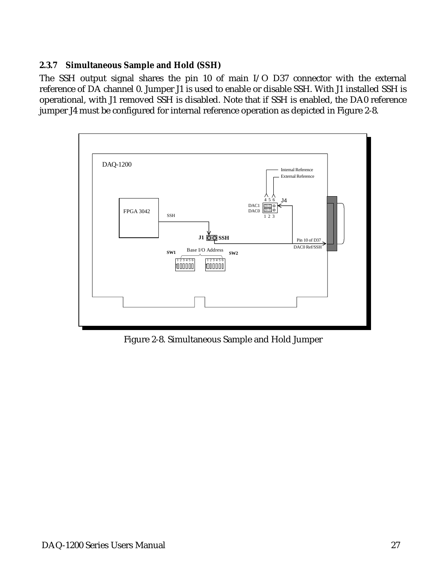#### **2.3.7 Simultaneous Sample and Hold (SSH)**

The SSH output signal shares the pin 10 of main I/O D37 connector with the external reference of DA channel 0. Jumper J1 is used to enable or disable SSH. With J1 installed SSH is operational, with J1 removed SSH is disabled. Note that if SSH is enabled, the DA0 reference jumper J4 must be configured for internal reference operation as depicted in Figure 2-8.



Figure 2-8. Simultaneous Sample and Hold Jumper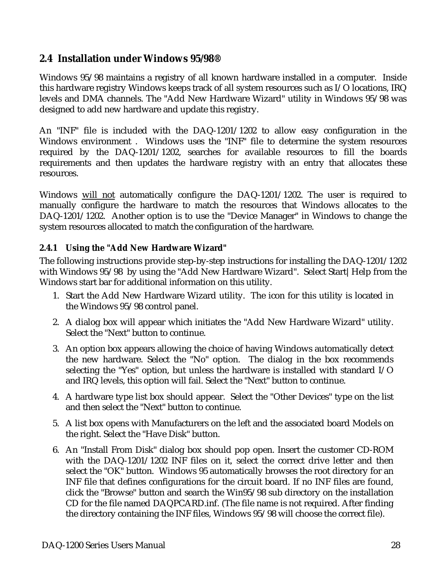#### <span id="page-27-0"></span>**2.4 Installation under Windows 95/98®**

Windows 95/98 maintains a registry of all known hardware installed in a computer. Inside this hardware registry Windows keeps track of all system resources such as I/O locations, IRQ levels and DMA channels. The "Add New Hardware Wizard" utility in Windows 95/98 was designed to add new hardware and update this registry.

An "INF" file is included with the DAQ-1201/1202 to allow easy configuration in the Windows environment . Windows uses the "INF" file to determine the system resources required by the DAQ-1201/1202, searches for available resources to fill the boards requirements and then updates the hardware registry with an entry that allocates these resources.

Windows will not automatically configure the DAQ-1201/1202. The user is required to manually configure the hardware to match the resources that Windows allocates to the DAQ-1201/1202. Another option is to use the "Device Manager" in Windows to change the system resources allocated to match the configuration of the hardware.

#### **2.4.1 Using the "Add New Hardware Wizard"**

The following instructions provide step-by-step instructions for installing the DAQ-1201/1202 with Windows 95/98 by using the "Add New Hardware Wizard". Select Start | Help from the Windows start bar for additional information on this utility.

- 1. Start the Add New Hardware Wizard utility. The icon for this utility is located in the Windows 95/98 control panel.
- 2. A dialog box will appear which initiates the "Add New Hardware Wizard" utility. Select the "Next" button to continue.
- 3. An option box appears allowing the choice of having Windows automatically detect the new hardware. Select the "No" option. The dialog in the box recommends selecting the "Yes" option, but unless the hardware is installed with standard I/O and IRQ levels, this option will fail. Select the "Next" button to continue.
- 4. A hardware type list box should appear. Select the "Other Devices" type on the list and then select the "Next" button to continue.
- 5. A list box opens with Manufacturers on the left and the associated board Models on the right. Select the "Have Disk" button.
- 6. An "Install From Disk" dialog box should pop open. Insert the customer CD-ROM with the DAQ-1201/1202 INF files on it, select the correct drive letter and then select the "OK" button. Windows 95 automatically browses the root directory for an INF file that defines configurations for the circuit board. If no INF files are found, click the "Browse" button and search the Win95/98 sub directory on the installation CD for the file named DAQPCARD.inf. (The file name is not required. After finding the directory containing the INF files, Windows 95/98 will choose the correct file).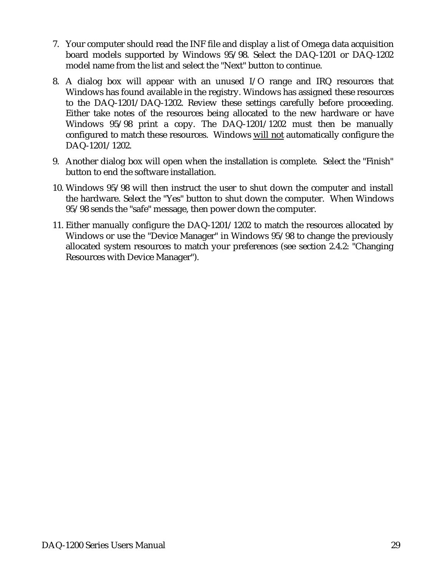- 7. Your computer should read the INF file and display a list of Omega data acquisition board models supported by Windows 95/98. Select the DAQ-1201 or DAQ-1202 model name from the list and select the "Next" button to continue.
- 8. A dialog box will appear with an unused I/O range and IRQ resources that Windows has found available in the registry. Windows has assigned these resources to the DAQ-1201/DAQ-1202. Review these settings carefully before proceeding. Either take notes of the resources being allocated to the new hardware or have Windows 95/98 print a copy. The DAQ-1201/1202 must then be manually configured to match these resources. Windows will not automatically configure the DAQ-1201/1202.
- 9. Another dialog box will open when the installation is complete. Select the "Finish" button to end the software installation.
- 10. Windows 95/98 will then instruct the user to shut down the computer and install the hardware. Select the "Yes" button to shut down the computer. When Windows 95/98 sends the "safe" message, then power down the computer.
- 11. Either manually configure the DAQ-1201/1202 to match the resources allocated by Windows or use the "Device Manager" in Windows 95/98 to change the previously allocated system resources to match your preferences (see section 2.4.2: "Changing Resources with Device Manager").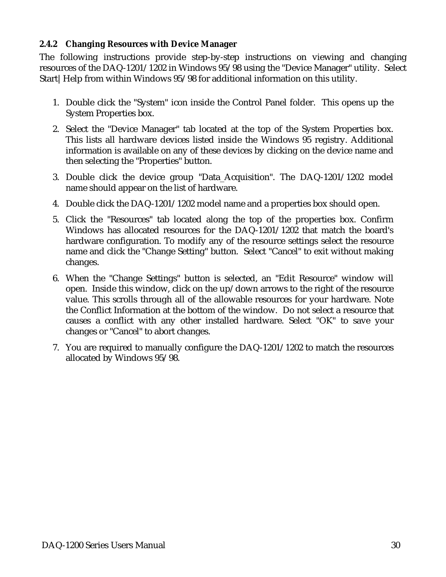#### **2.4.2 Changing Resources with Device Manager**

The following instructions provide step-by-step instructions on viewing and changing resources of the DAQ-1201/1202 in Windows 95/98 using the "Device Manager" utility. Select Start|Help from within Windows 95/98 for additional information on this utility.

- 1. Double click the "System" icon inside the Control Panel folder. This opens up the System Properties box.
- 2. Select the "Device Manager" tab located at the top of the System Properties box. This lists all hardware devices listed inside the Windows 95 registry. Additional information is available on any of these devices by clicking on the device name and then selecting the "Properties" button.
- 3. Double click the device group "Data\_Acquisition". The DAQ-1201/1202 model name should appear on the list of hardware.
- 4. Double click the DAQ-1201/1202 model name and a properties box should open.
- 5. Click the "Resources" tab located along the top of the properties box. Confirm Windows has allocated resources for the DAQ-1201/1202 that match the board's hardware configuration. To modify any of the resource settings select the resource name and click the "Change Setting" button. Select "Cancel" to exit without making changes.
- 6. When the "Change Settings" button is selected, an "Edit Resource" window will open. Inside this window, click on the up/down arrows to the right of the resource value. This scrolls through all of the allowable resources for your hardware. Note the Conflict Information at the bottom of the window. Do not select a resource that causes a conflict with any other installed hardware. Select "OK" to save your changes or "Cancel" to abort changes.
- 7. You are required to manually configure the DAQ-1201/1202 to match the resources allocated by Windows 95/98.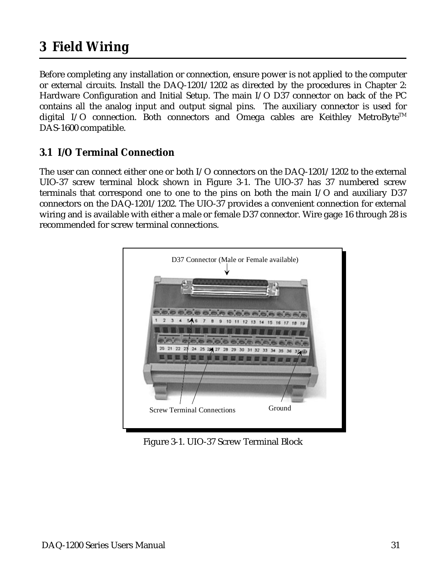## <span id="page-30-0"></span>**3 Field Wiring**

Before completing any installation or connection, ensure power is not applied to the computer or external circuits. Install the DAQ-1201/1202 as directed by the procedures in Chapter 2: Hardware Configuration and Initial Setup. The main I/O D37 connector on back of the PC contains all the analog input and output signal pins. The auxiliary connector is used for digital I/O connection. Both connectors and Omega cables are Keithley MetroByte<sup>TM</sup> DAS-1600 compatible.

#### **3.1 I/O Terminal Connection**

The user can connect either one or both I/O connectors on the DAQ-1201/1202 to the external UIO-37 screw terminal block shown in Figure 3-1. The UIO-37 has 37 numbered screw terminals that correspond one to one to the pins on both the main I/O and auxiliary D37 connectors on the DAQ-1201/1202. The UIO-37 provides a convenient connection for external wiring and is available with either a male or female D37 connector. Wire gage 16 through 28 is recommended for screw terminal connections.



Figure 3-1. UIO-37 Screw Terminal Block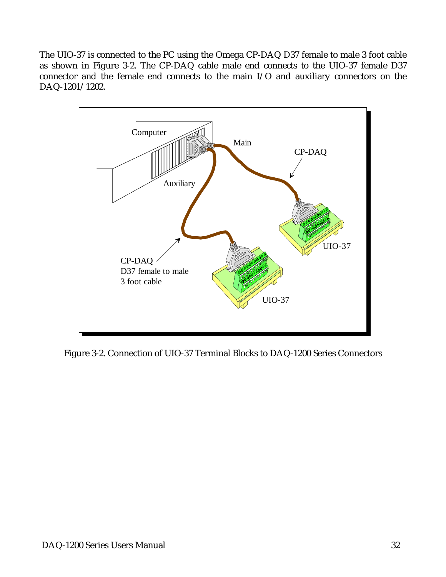The UIO-37 is connected to the PC using the Omega CP-DAQ D37 female to male 3 foot cable as shown in Figure 3-2. The CP-DAQ cable male end connects to the UIO-37 female D37 connector and the female end connects to the main I/O and auxiliary connectors on the DAQ-1201/1202.



Figure 3-2. Connection of UIO-37 Terminal Blocks to DAQ-1200 Series Connectors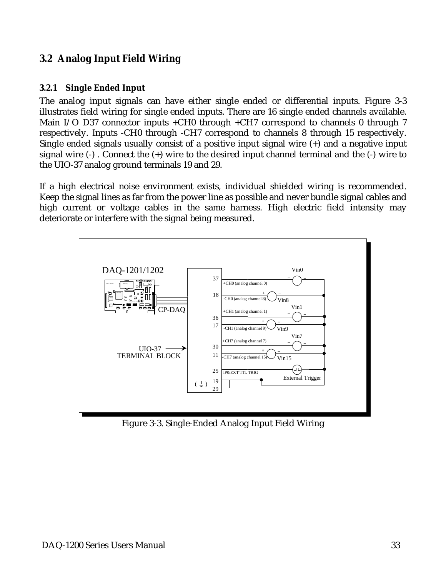#### **3.2 Analog Input Field Wiring**

#### **3.2.1 Single Ended Input**

The analog input signals can have either single ended or differential inputs. Figure 3-3 illustrates field wiring for single ended inputs. There are 16 single ended channels available. Main I/O D37 connector inputs +CH0 through +CH7 correspond to channels 0 through 7 respectively. Inputs -CH0 through -CH7 correspond to channels 8 through 15 respectively. Single ended signals usually consist of a positive input signal wire (+) and a negative input signal wire (-) . Connect the (+) wire to the desired input channel terminal and the (-) wire to the UIO-37 analog ground terminals 19 and 29.

If a high electrical noise environment exists, individual shielded wiring is recommended. Keep the signal lines as far from the power line as possible and never bundle signal cables and high current or voltage cables in the same harness. High electric field intensity may deteriorate or interfere with the signal being measured.



Figure 3-3. Single-Ended Analog Input Field Wiring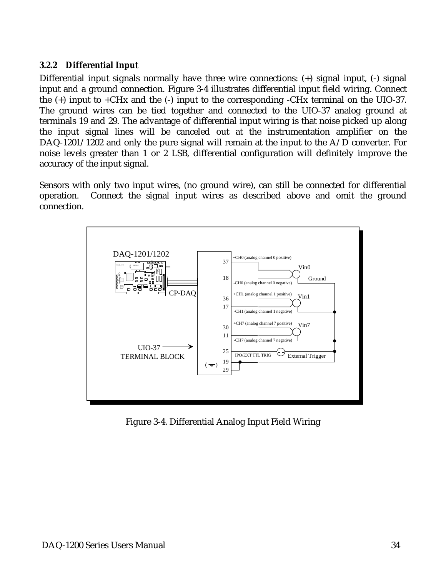#### **3.2.2 Differential Input**

Differential input signals normally have three wire connections: (+) signal input, (-) signal input and a ground connection. Figure 3-4 illustrates differential input field wiring. Connect the (+) input to +CHx and the (-) input to the corresponding -CHx terminal on the UIO-37. The ground wires can be tied together and connected to the UIO-37 analog ground at terminals 19 and 29. The advantage of differential input wiring is that noise picked up along the input signal lines will be canceled out at the instrumentation amplifier on the DAQ-1201/1202 and only the pure signal will remain at the input to the A/D converter. For noise levels greater than 1 or 2 LSB, differential configuration will definitely improve the accuracy of the input signal.

Sensors with only two input wires, (no ground wire), can still be connected for differential operation. Connect the signal input wires as described above and omit the ground connection.



Figure 3-4. Differential Analog Input Field Wiring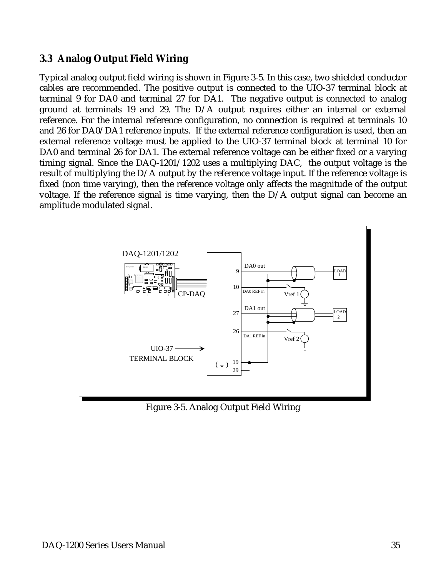#### **3.3 Analog Output Field Wiring**

Typical analog output field wiring is shown in Figure 3-5. In this case, two shielded conductor cables are recommended. The positive output is connected to the UIO-37 terminal block at terminal 9 for DA0 and terminal 27 for DA1. The negative output is connected to analog ground at terminals 19 and 29. The D/A output requires either an internal or external reference. For the internal reference configuration, no connection is required at terminals 10 and 26 for DA0/DA1 reference inputs. If the external reference configuration is used, then an external reference voltage must be applied to the UIO-37 terminal block at terminal 10 for DA0 and terminal 26 for DA1. The external reference voltage can be either fixed or a varying timing signal. Since the DAQ-1201/1202 uses a multiplying DAC, the output voltage is the result of multiplying the D/A output by the reference voltage input. If the reference voltage is fixed (non time varying), then the reference voltage only affects the magnitude of the output voltage. If the reference signal is time varying, then the D/A output signal can become an amplitude modulated signal.



Figure 3-5. Analog Output Field Wiring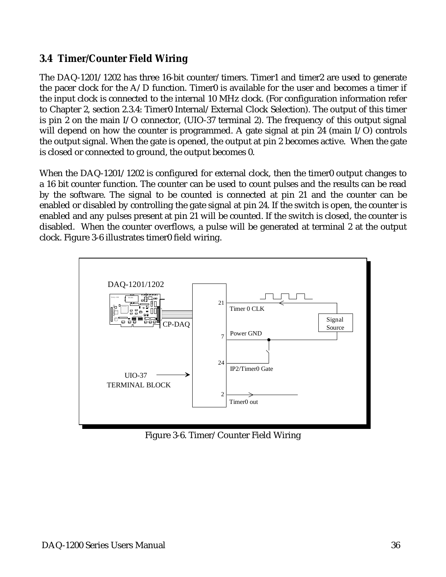#### **3.4 Timer/Counter Field Wiring**

The DAQ-1201/1202 has three 16-bit counter/timers. Timer1 and timer2 are used to generate the pacer clock for the  $A/D$  function. Timer0 is available for the user and becomes a timer if the input clock is connected to the internal 10 MHz clock. (For configuration information refer to Chapter 2, section 2.3.4: Timer0 Internal/External Clock Selection). The output of this timer is pin 2 on the main I/O connector, (UIO-37 terminal 2). The frequency of this output signal will depend on how the counter is programmed. A gate signal at pin 24 (main I/O) controls the output signal. When the gate is opened, the output at pin 2 becomes active. When the gate is closed or connected to ground, the output becomes 0.

When the DAQ-1201/1202 is configured for external clock, then the timer0 output changes to a 16 bit counter function. The counter can be used to count pulses and the results can be read by the software. The signal to be counted is connected at pin 21 and the counter can be enabled or disabled by controlling the gate signal at pin 24. If the switch is open, the counter is enabled and any pulses present at pin 21 will be counted. If the switch is closed, the counter is disabled. When the counter overflows, a pulse will be generated at terminal 2 at the output clock. Figure 3-6 illustrates timer0 field wiring.



Figure 3-6. Timer/Counter Field Wiring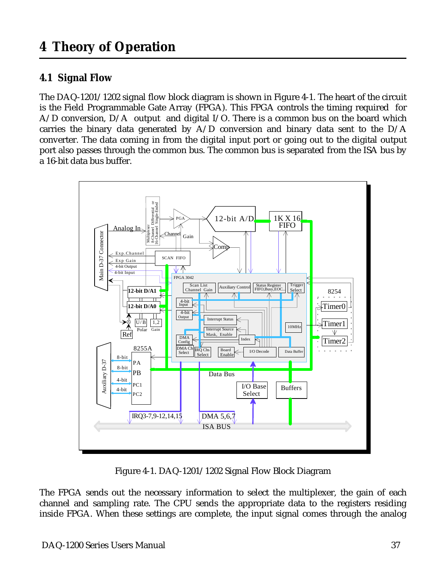#### <span id="page-36-0"></span>**4.1 Signal Flow**

The DAQ-1201/1202 signal flow block diagram is shown in Figure 4-1. The heart of the circuit is the Field Programmable Gate Array (FPGA). This FPGA controls the timing required for A/D conversion, D/A output and digital I/O. There is a common bus on the board which carries the binary data generated by  $A/D$  conversion and binary data sent to the  $D/A$ converter. The data coming in from the digital input port or going out to the digital output port also passes through the common bus. The common bus is separated from the ISA bus by a 16-bit data bus buffer.



Figure 4-1. DAQ-1201/1202 Signal Flow Block Diagram

The FPGA sends out the necessary information to select the multiplexer, the gain of each channel and sampling rate. The CPU sends the appropriate data to the registers residing inside FPGA. When these settings are complete, the input signal comes through the analog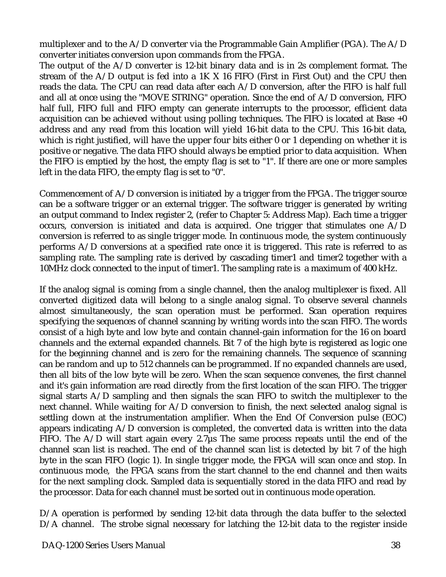multiplexer and to the A/D converter via the Programmable Gain Amplifier (PGA). The A/D converter initiates conversion upon commands from the FPGA.

The output of the  $A/D$  converter is 12-bit binary data and is in 2s complement format. The stream of the A/D output is fed into a 1K X 16 FIFO (First in First Out) and the CPU then reads the data. The CPU can read data after each A/D conversion, after the FIFO is half full and all at once using the "MOVE STRING" operation. Since the end of A/D conversion, FIFO half full, FIFO full and FIFO empty can generate interrupts to the processor, efficient data acquisition can be achieved without using polling techniques. The FIFO is located at Base +0 address and any read from this location will yield 16-bit data to the CPU. This 16-bit data, which is right justified, will have the upper four bits either 0 or 1 depending on whether it is positive or negative. The data FIFO should always be emptied prior to data acquisition. When the FIFO is emptied by the host, the empty flag is set to "1". If there are one or more samples left in the data FIFO, the empty flag is set to "0".

Commencement of A/D conversion is initiated by a trigger from the FPGA. The trigger source can be a software trigger or an external trigger. The software trigger is generated by writing an output command to Index register 2, (refer to Chapter 5: Address Map). Each time a trigger occurs, conversion is initiated and data is acquired. One trigger that stimulates one A/D conversion is referred to as single trigger mode. In continuous mode, the system continuously performs A/D conversions at a specified rate once it is triggered. This rate is referred to as sampling rate. The sampling rate is derived by cascading timer1 and timer2 together with a 10MHz clock connected to the input of timer1. The sampling rate is a maximum of 400 kHz.

If the analog signal is coming from a single channel, then the analog multiplexer is fixed. All converted digitized data will belong to a single analog signal. To observe several channels almost simultaneously, the scan operation must be performed. Scan operation requires specifying the sequences of channel scanning by writing words into the scan FIFO. The words consist of a high byte and low byte and contain channel-gain information for the 16 on board channels and the external expanded channels. Bit 7 of the high byte is registered as logic one for the beginning channel and is zero for the remaining channels. The sequence of scanning can be random and up to 512 channels can be programmed. If no expanded channels are used, then all bits of the low byte will be zero. When the scan sequence convenes, the first channel and it's gain information are read directly from the first location of the scan FIFO. The trigger signal starts A/D sampling and then signals the scan FIFO to switch the multiplexer to the next channel. While waiting for A/D conversion to finish, the next selected analog signal is settling down at the instrumentation amplifier. When the End Of Conversion pulse (EOC) appears indicating A/D conversion is completed, the converted data is written into the data FIFO. The  $A/D$  will start again every 2.7 $\mu$ s The same process repeats until the end of the channel scan list is reached. The end of the channel scan list is detected by bit 7 of the high byte in the scan FIFO (logic 1). In single trigger mode, the FPGA will scan once and stop. In continuous mode, the FPGA scans from the start channel to the end channel and then waits for the next sampling clock. Sampled data is sequentially stored in the data FIFO and read by the processor. Data for each channel must be sorted out in continuous mode operation.

D/A operation is performed by sending 12-bit data through the data buffer to the selected D/A channel. The strobe signal necessary for latching the 12-bit data to the register inside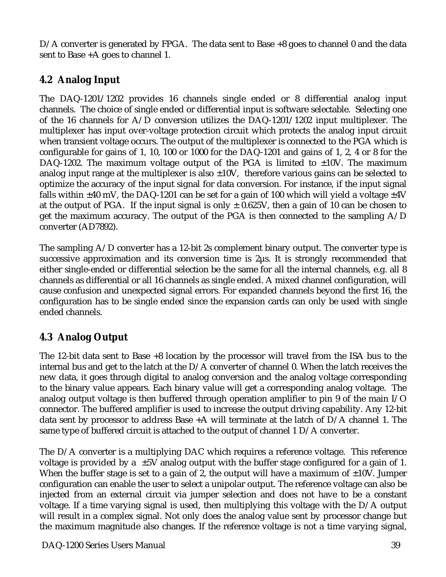D/A converter is generated by FPGA. The data sent to Base +8 goes to channel 0 and the data sent to Base +A goes to channel 1.

#### **4.2 Analog Input**

The DAQ-1201/1202 provides 16 channels single ended or 8 differential analog input channels. The choice of single ended or differential input is software selectable. Selecting one of the 16 channels for A/D conversion utilizes the DAQ-1201/1202 input multiplexer. The multiplexer has input over-voltage protection circuit which protects the analog input circuit when transient voltage occurs. The output of the multiplexer is connected to the PGA which is configurable for gains of 1, 10, 100 or 1000 for the DAQ-1201 and gains of 1, 2, 4 or 8 for the DAQ-1202. The maximum voltage output of the PGA is limited to  $\pm 10V$ . The maximum analog input range at the multiplexer is also  $\pm 10V$ , therefore various gains can be selected to optimize the accuracy of the input signal for data conversion. For instance, if the input signal falls within  $\pm 40$  mV, the DAQ-1201 can be set for a gain of 100 which will yield a voltage  $\pm 4$ V at the output of PGA. If the input signal is only  $\pm$  0.625V, then a gain of 10 can be chosen to get the maximum accuracy. The output of the PGA is then connected to the sampling A/D converter (AD7892).

The sampling A/D converter has a 12-bit 2s complement binary output. The converter type is successive approximation and its conversion time is 2µs. It is strongly recommended that either single-ended or differential selection be the same for all the internal channels, e.g. all 8 channels as differential or all 16 channels as single ended. A mixed channel configuration, will cause confusion and unexpected signal errors. For expanded channels beyond the first 16, the configuration has to be single ended since the expansion cards can only be used with single ended channels.

#### **4.3 Analog Output**

The 12-bit data sent to Base +8 location by the processor will travel from the ISA bus to the internal bus and get to the latch at the D/A converter of channel 0. When the latch receives the new data, it goes through digital to analog conversion and the analog voltage corresponding to the binary value appears. Each binary value will get a corresponding analog voltage. The analog output voltage is then buffered through operation amplifier to pin 9 of the main I/O connector. The buffered amplifier is used to increase the output driving capability. Any 12-bit data sent by processor to address Base +A will terminate at the latch of D/A channel 1. The same type of buffered circuit is attached to the output of channel 1 D/A converter.

The D/A converter is a multiplying DAC which requires a reference voltage. This reference voltage is provided by a  $\pm 5V$  analog output with the buffer stage configured for a gain of 1. When the buffer stage is set to a gain of 2, the output will have a maximum of  $\pm 10V$ . Jumper configuration can enable the user to select a unipolar output. The reference voltage can also be injected from an external circuit via jumper selection and does not have to be a constant voltage. If a time varying signal is used, then multiplying this voltage with the D/A output will result in a complex signal. Not only does the analog value sent by processor change but the maximum magnitude also changes. If the reference voltage is not a time varying signal,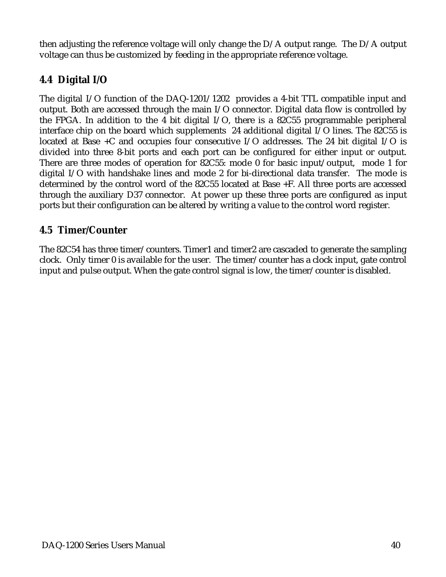then adjusting the reference voltage will only change the D/A output range. The D/A output voltage can thus be customized by feeding in the appropriate reference voltage.

#### **4.4 Digital I/O**

The digital I/O function of the DAQ-1201/1202 provides a 4-bit TTL compatible input and output. Both are accessed through the main I/O connector. Digital data flow is controlled by the FPGA. In addition to the 4 bit digital I/O, there is a 82C55 programmable peripheral interface chip on the board which supplements 24 additional digital I/O lines. The 82C55 is located at Base +C and occupies four consecutive I/O addresses. The 24 bit digital I/O is divided into three 8-bit ports and each port can be configured for either input or output. There are three modes of operation for 82C55: mode 0 for basic input/output, mode 1 for digital I/O with handshake lines and mode 2 for bi-directional data transfer. The mode is determined by the control word of the 82C55 located at Base +F. All three ports are accessed through the auxiliary D37 connector. At power up these three ports are configured as input ports but their configuration can be altered by writing a value to the control word register.

#### **4.5 Timer/Counter**

The 82C54 has three timer/counters. Timer1 and timer2 are cascaded to generate the sampling clock. Only timer 0 is available for the user. The timer/counter has a clock input, gate control input and pulse output. When the gate control signal is low, the timer/counter is disabled.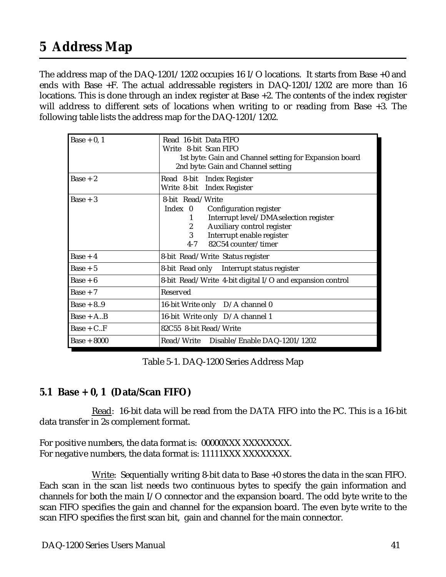## <span id="page-40-0"></span>**5 Address Map**

The address map of the DAQ-1201/1202 occupies 16 I/O locations. It starts from Base +0 and ends with Base +F. The actual addressable registers in DAQ-1201/1202 are more than 16 locations. This is done through an index register at Base +2. The contents of the index register will address to different sets of locations when writing to or reading from Base +3. The following table lists the address map for the DAQ-1201/1202.

| Base $+0, 1$  | Read 16-bit Data FIFO<br>Write 8-bit Scan FIFO<br>1st byte: Gain and Channel setting for Expansion board<br>2nd byte: Gain and Channel setting                                                                                |
|---------------|-------------------------------------------------------------------------------------------------------------------------------------------------------------------------------------------------------------------------------|
| $Base + 2$    | Read 8-bit Index Register<br>Write 8-bit Index Register                                                                                                                                                                       |
| Base $+3$     | 8-bit Read/Write<br>Index 0 Configuration register<br>Interrupt level/DMAselection register<br>1<br>Auxiliary control register<br>$\mathbf{2}$<br>$\mathbf{3}$<br>Interrupt enable register<br>82C54 counter/timer<br>$4 - 7$ |
| $Base + 4$    | 8-bit Read/Write Status register                                                                                                                                                                                              |
| $Base + 5$    | 8-bit Read only Interrupt status register                                                                                                                                                                                     |
| $Base + 6$    | 8-bit Read/Write 4-bit digital I/O and expansion control                                                                                                                                                                      |
| $Base + 7$    | Reserved                                                                                                                                                                                                                      |
| $Base + 8.9$  | 16-bit Write only D/A channel 0                                                                                                                                                                                               |
| $Base + A.B$  | 16-bit Write only D/A channel 1                                                                                                                                                                                               |
| $Base + C.F$  | 82C55 8-bit Read/Write                                                                                                                                                                                                        |
| $Base + 8000$ | Read/Write Disable/Enable DAQ-1201/1202                                                                                                                                                                                       |

Table 5-1. DAQ-1200 Series Address Map

#### **5.1 Base + 0, 1 (Data/Scan FIFO)**

Read: 16-bit data will be read from the DATA FIFO into the PC. This is a 16-bit data transfer in 2s complement format.

For positive numbers, the data format is: 00000XXX XXXXXXXX. For negative numbers, the data format is: 11111XXX XXXXXXXX.

Write: Sequentially writing 8-bit data to Base +0 stores the data in the scan FIFO. Each scan in the scan list needs two continuous bytes to specify the gain information and channels for both the main I/O connector and the expansion board. The odd byte write to the scan FIFO specifies the gain and channel for the expansion board. The even byte write to the scan FIFO specifies the first scan bit, gain and channel for the main connector.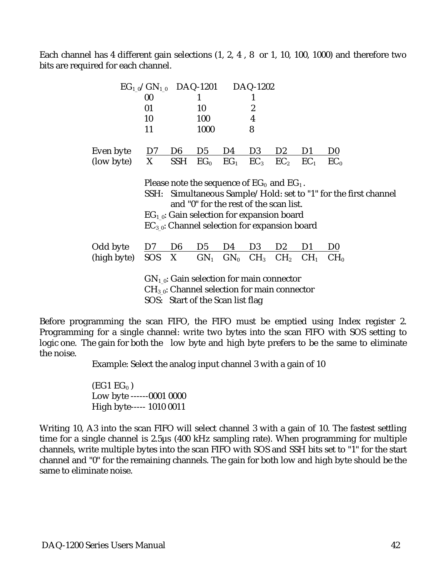Each channel has 4 different gain selections (1, 2, 4 , 8 or 1, 10, 100, 1000) and therefore two bits are required for each channel.

|             | $EG_{10}/GN_{10}$ DAQ-1201 |                |                                                                                                                                                                                                    |        | DAQ-1202         |                 |                 |                                                            |
|-------------|----------------------------|----------------|----------------------------------------------------------------------------------------------------------------------------------------------------------------------------------------------------|--------|------------------|-----------------|-----------------|------------------------------------------------------------|
|             | 00                         |                |                                                                                                                                                                                                    |        |                  |                 |                 |                                                            |
|             | 01                         |                | 10                                                                                                                                                                                                 |        | $\overline{c}$   |                 |                 |                                                            |
|             | 10                         |                | 100                                                                                                                                                                                                |        | $\boldsymbol{4}$ |                 |                 |                                                            |
|             | 11                         |                | 1000                                                                                                                                                                                               |        | 8                |                 |                 |                                                            |
| Even byte   | D7                         | D <sub>6</sub> | D <sub>5</sub>                                                                                                                                                                                     | D4     | D <sub>3</sub>   | D <sub>2</sub>  | D1              | D <sub>0</sub>                                             |
| (low byte)  | X                          | <b>SSH</b>     | EG <sub>0</sub>                                                                                                                                                                                    | $EG_1$ | EC <sub>3</sub>  | EC <sub>2</sub> | EC <sub>1</sub> | EC <sub>0</sub>                                            |
|             | SSH:                       |                | Please note the sequence of $EG_0$ and $EG_1$ .<br>and "0" for the rest of the scan list.<br>$EG_{1,0}$ : Gain selection for expansion board<br>$EC_{3,0}$ : Channel selection for expansion board |        |                  |                 |                 | Simultaneous Sample/Hold: set to "1" for the first channel |
| Odd byte    | D7                         | D <sub>6</sub> | D <sub>5</sub>                                                                                                                                                                                     | D4     | D <sub>3</sub>   | D <sub>2</sub>  | D <sub>1</sub>  | D <sub>0</sub>                                             |
| (high byte) | <b>SOS</b>                 | X              | $GN_1$                                                                                                                                                                                             | $GN_0$ | CH <sub>3</sub>  | CH <sub>2</sub> | CH <sub>1</sub> | CH <sub>0</sub>                                            |
|             |                            |                | $GN_{1,0}$ : Gain selection for main connector<br>$CH_{3.0}$ : Channel selection for main connector                                                                                                |        |                  |                 |                 |                                                            |

SOS: Start of the Scan list flag

Before programming the scan FIFO, the FIFO must be emptied using Index register 2. Programming for a single channel: write two bytes into the scan FIFO with SOS setting to logic one. The gain for both the low byte and high byte prefers to be the same to eliminate the noise.

Example: Select the analog input channel 3 with a gain of 10

 $(EG1 EG<sub>0</sub>)$  Low byte ------0001 0000 High byte----- 1010 0011

Writing 10, A3 into the scan FIFO will select channel 3 with a gain of 10. The fastest settling time for a single channel is 2.5µs (400 kHz sampling rate). When programming for multiple channels, write multiple bytes into the scan FIFO with SOS and SSH bits set to "1" for the start channel and "0" for the remaining channels. The gain for both low and high byte should be the same to eliminate noise.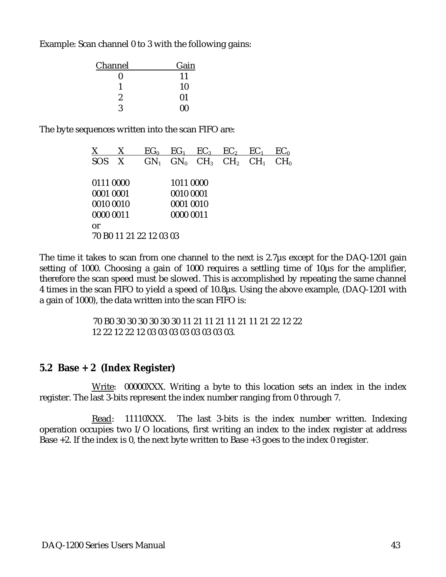Example: Scan channel 0 to 3 with the following gains:

| Gain |
|------|
| 11   |
| 10   |
| 01   |
| 00   |
|      |

The byte sequences written into the scan FIFO are:

| X          | X                       | EG <sub>0</sub> | EG <sub>1</sub> | $EC_3$ $EC_2$                      | EC <sub>1</sub> | EC <sub>0</sub> |
|------------|-------------------------|-----------------|-----------------|------------------------------------|-----------------|-----------------|
| <b>SOS</b> | X                       |                 |                 | $GN_1$ $GN_0$ $CH_3$ $CH_2$ $CH_1$ |                 | CH <sub>0</sub> |
|            |                         |                 |                 |                                    |                 |                 |
| 0111 0000  |                         |                 | 1011 0000       |                                    |                 |                 |
| 0001 0001  |                         |                 | 0010 0001       |                                    |                 |                 |
| 0010 0010  |                         |                 | 0001 0010       |                                    |                 |                 |
| 0000 0011  |                         |                 | 0000 0011       |                                    |                 |                 |
| or         |                         |                 |                 |                                    |                 |                 |
|            | 70 B0 11 21 22 12 03 03 |                 |                 |                                    |                 |                 |

The time it takes to scan from one channel to the next is 2.7µs except for the DAQ-1201 gain setting of 1000. Choosing a gain of 1000 requires a settling time of 10µs for the amplifier, therefore the scan speed must be slowed. This is accomplished by repeating the same channel 4 times in the scan FIFO to yield a speed of 10.8µs. Using the above example, (DAQ-1201 with a gain of 1000), the data written into the scan FIFO is:

> 70 B0 30 30 30 30 30 30 11 21 11 21 11 21 11 21 22 12 22 12 22 12 22 12 03 03 03 03 03 03 03 03.

#### **5.2 Base + 2 (Index Register)**

Write: 00000XXX. Writing a byte to this location sets an index in the index register. The last 3-bits represent the index number ranging from 0 through 7.

Read: 11110XXX. The last 3-bits is the index number written. Indexing operation occupies two I/O locations, first writing an index to the index register at address Base +2. If the index is 0, the next byte written to Base +3 goes to the index 0 register.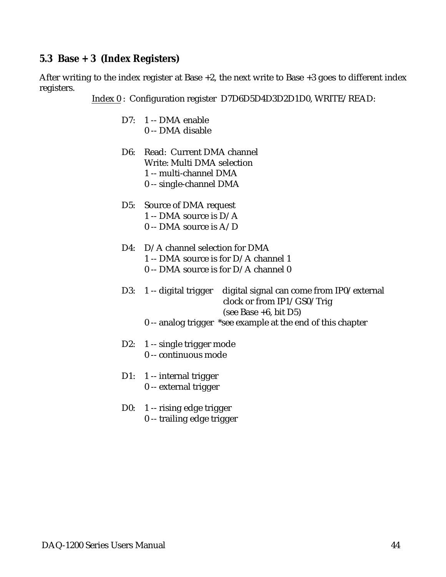#### **5.3 Base + 3 (Index Registers)**

After writing to the index register at Base  $+2$ , the next write to Base  $+3$  goes to different index registers.

Index 0 : Configuration register D7D6D5D4D3D2D1D0, WRITE/READ:

- D7: 1 -- DMA enable 0 -- DMA disable
- D6: Read: Current DMA channel Write: Multi DMA selection 1 -- multi-channel DMA 0 -- single-channel DMA
- D5: Source of DMA request 1 -- DMA source is D/A 0 -- DMA source is A/D
- D4: D/A channel selection for DMA 1 -- DMA source is for D/A channel 1 0 -- DMA source is for D/A channel 0
- D3: 1 -- digital trigger digital signal can come from IP0/external clock or from IP1/GS0/Trig (see Base +6, bit D5)
	- 0 -- analog trigger \*see example at the end of this chapter
- D2: 1 -- single trigger mode 0 -- continuous mode
- D1: 1 -- internal trigger 0 -- external trigger
- D0: 1 -- rising edge trigger 0 -- trailing edge trigger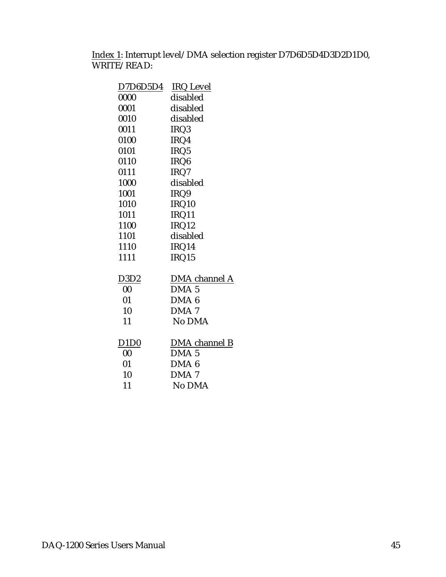Index 1: Interrupt level/DMA selection register D7D6D5D4D3D2D1D0, WRITE/READ:

| D7D6D5D4                      | <b>IRQ Level</b> |
|-------------------------------|------------------|
| 0000                          | disabled         |
| 0001                          | disabled         |
| 0010                          | disabled         |
| 0011                          | IRQ3             |
| 0100                          | IRQ4             |
| 0101                          | IRQ5             |
| 0110                          | IRQ6             |
| 0111                          | IRQ7             |
| 1000                          | disabled         |
| 1001                          | IRQ9             |
| 1010                          | IRQ10            |
| 1011                          | IRQ11            |
| 1100                          | IRQ12            |
| 1101                          | disabled         |
| 1110                          | IRQ14            |
| 1111                          | IRQ15            |
|                               |                  |
| D <sub>3</sub> D <sub>2</sub> | DMA channel A    |
| 00                            | DMA <sub>5</sub> |
| 01                            | DMA <sub>6</sub> |
| 10                            | DMA <sub>7</sub> |
| 11                            | No DMA           |
|                               |                  |
| D <sub>1</sub> D <sub>0</sub> | DMA channel B    |
| $00\,$                        | DMA <sub>5</sub> |
| 01                            | DMA <sub>6</sub> |
| 10                            | DMA <sub>7</sub> |
| 11                            | No DMA           |
|                               |                  |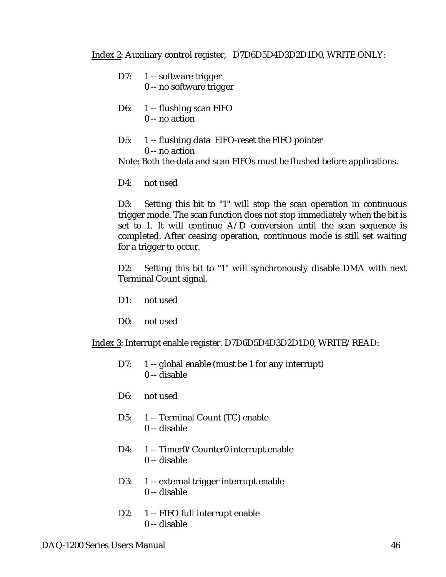Index 2: Auxiliary control register, D7D6D5D4D3D2D1D0, WRITE ONLY:

- D7: 1 -- software trigger 0 -- no software trigger
- D6: 1 -- flushing scan FIFO 0 -- no action
- D5: 1 -- flushing data FIFO-reset the FIFO pointer 0 -- no action

Note: Both the data and scan FIFOs must be flushed before applications.

D4: not used

D3: Setting this bit to "1" will stop the scan operation in continuous trigger mode. The scan function does not stop immediately when the bit is set to 1. It will continue  $A/D$  conversion until the scan sequence is completed. After ceasing operation, continuous mode is still set waiting for a trigger to occur.

D2: Setting this bit to "1" will synchronously disable DMA with next Terminal Count signal.

- D1: not used
- D0: not used

Index 3: Interrupt enable register. D7D6D5D4D3D2D1D0, WRITE/READ:

- D7: 1 -- global enable (must be 1 for any interrupt) 0 -- disable
- D6: not used
- D5: 1 -- Terminal Count (TC) enable 0 -- disable
- D4: 1 -- Timer0/Counter0 interrupt enable 0 -- disable
- D3: 1 -- external trigger interrupt enable 0 -- disable
- D2: 1 -- FIFO full interrupt enable 0 -- disable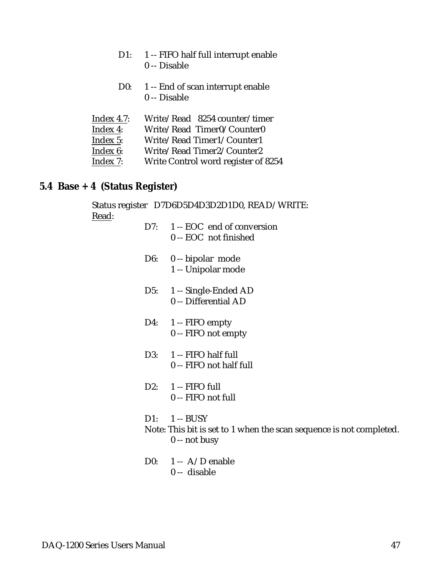- D1: 1 -- FIFO half full interrupt enable 0 -- Disable
- D0: 1 -- End of scan interrupt enable 0 -- Disable

| Index $4.7$ : | Write/Read 8254 counter/timer       |
|---------------|-------------------------------------|
| Index 4:      | Write/Read Timer0/Counter0          |
| Index 5:      | Write/Read Timer1/Counter1          |
| Index 6:      | Write/Read Timer2/Counter2          |
| Index 7:      | Write Control word register of 8254 |

#### **5.4 Base + 4 (Status Register)**

Status register D7D6D5D4D3D2D1D0, READ/WRITE: Read:

- D7: 1 -- EOC end of conversion 0 -- EOC not finished
- D6: 0 -- bipolar mode 1 -- Unipolar mode
- D5: 1 -- Single-Ended AD 0 -- Differential AD
- D4: 1 -- FIFO empty 0 -- FIFO not empty
- D3: 1 -- FIFO half full 0 -- FIFO not half full
- D2: 1 -- FIFO full 0 -- FIFO not full
- D1:  $1 BUSY$ Note: This bit is set to 1 when the scan sequence is not completed. 0 -- not busy
- D0: 1 -- A/D enable 0 -- disable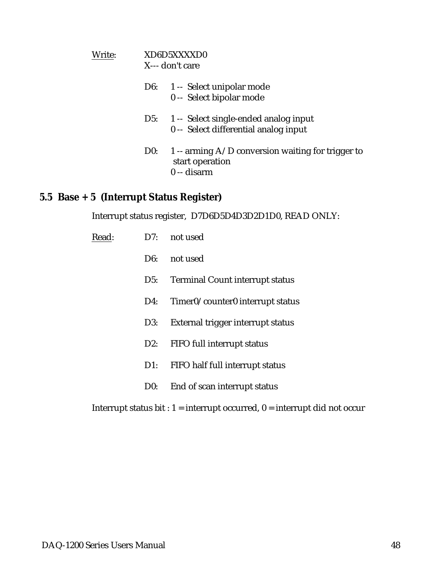| Write: |     | XD6D5XXXXD0<br>X--- don't care                                                         |
|--------|-----|----------------------------------------------------------------------------------------|
|        |     | D6: 1 -- Select unipolar mode<br>0 -- Select bipolar mode                              |
|        |     | D5: 1 -- Select single-ended analog input<br>0 -- Select differential analog input     |
|        | D0: | 1 -- arming $A/D$ conversion waiting for trigger to<br>start operation<br>$0 -$ disarm |

#### **5.5 Base + 5 (Interrupt Status Register)**

Interrupt status register, D7D6D5D4D3D2D1D0, READ ONLY:

| Read: | D7:    | not used                               |
|-------|--------|----------------------------------------|
|       | D6:    | not used                               |
|       | D5:    | <b>Terminal Count interrupt status</b> |
|       | D4:    | Timer0/counter0 interrupt status       |
|       | D3:    | External trigger interrupt status      |
|       | $D2$ : | FIFO full interrupt status             |
|       | $D1$ : | FIFO half full interrupt status        |
|       | D0:    | End of scan interrupt status           |

Interrupt status bit :  $1 =$  interrupt occurred,  $0 =$  interrupt did not occur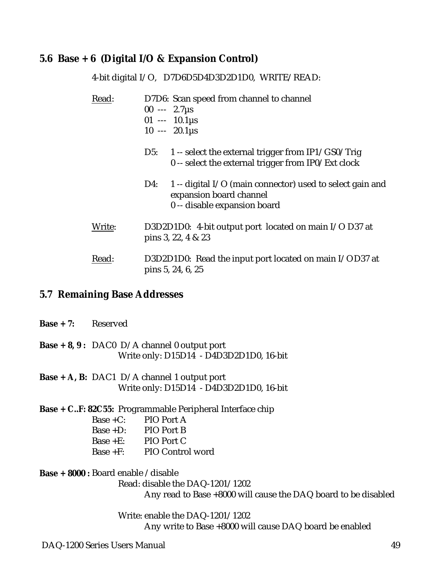#### **5.6 Base + 6 (Digital I/O & Expansion Control)**

4-bit digital I/O, D7D6D5D4D3D2D1D0, WRITE/READ: Read: D7D6: Scan speed from channel to channel  $00 -2.7 \mu s$  $01 - 10.1 \mu s$  $10 - 20.1 \mu s$ D5: 1 -- select the external trigger from IP1/GS0/Trig 0 -- select the external trigger from IP0/Ext clock D4: 1 -- digital I/O (main connector) used to select gain and expansion board channel 0 -- disable expansion board Write: D3D2D1D0: 4-bit output port located on main I/O D37 at pins 3, 22, 4 & 23 Read: D3D2D1D0: Read the input port located on main I/OD37 at pins 5, 24, 6, 25

#### **5.7 Remaining Base Addresses**

| $Base + 7:$ Reserved                                            |                                            |                                                                                               |  |  |
|-----------------------------------------------------------------|--------------------------------------------|-----------------------------------------------------------------------------------------------|--|--|
|                                                                 |                                            | <b>Base + 8, 9:</b> DAC0 D/A channel 0 output port<br>Write only: D15D14 - D4D3D2D1D0, 16-bit |  |  |
|                                                                 |                                            | <b>Base</b> + A, B: DAC1 D/A channel 1 output port<br>Write only: D15D14 - D4D3D2D1D0, 16-bit |  |  |
| <b>Base + CF: 82C55:</b> Programmable Peripheral Interface chip |                                            |                                                                                               |  |  |
|                                                                 | Base $+C$ : PIO Port A                     |                                                                                               |  |  |
|                                                                 | Base +D: $PIO$ Port B                      |                                                                                               |  |  |
|                                                                 | Base + $E$ : PIO Port C                    |                                                                                               |  |  |
|                                                                 |                                            | Base +F: PIO Control word                                                                     |  |  |
|                                                                 | <b>Base + 8000 :</b> Board enable /disable |                                                                                               |  |  |

Read: disable the DAQ-1201/1202

Any read to Base +8000 will cause the DAQ board to be disabled

Write: enable the DAQ-1201/1202 Any write to Base +8000 will cause DAQ board be enabled

DAQ-1200 Series Users Manual 49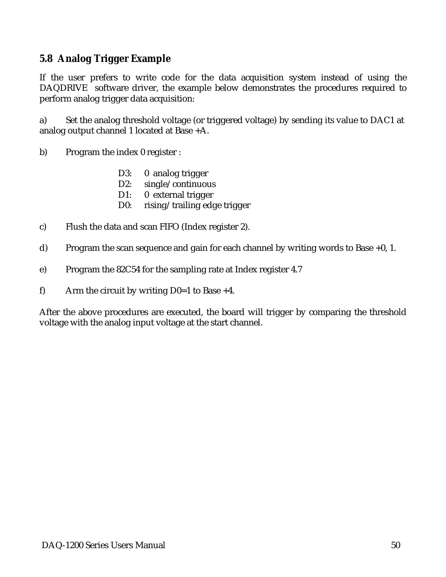#### **5.8 Analog Trigger Example**

If the user prefers to write code for the data acquisition system instead of using the DAQDRIVE software driver, the example below demonstrates the procedures required to perform analog trigger data acquisition:

a) Set the analog threshold voltage (or triggered voltage) by sending its value to DAC1 at analog output channel 1 located at Base +A.

b) Program the index 0 register :

- D3: 0 analog trigger
- D2: single/continuous
- D1: 0 external trigger
- D0: rising/trailing edge trigger
- c) Flush the data and scan FIFO (Index register 2).
- d) Program the scan sequence and gain for each channel by writing words to Base +0, 1.
- e) Program the 82C54 for the sampling rate at Index register 4.7
- f) Arm the circuit by writing  $D0=1$  to Base +4.

After the above procedures are executed, the board will trigger by comparing the threshold voltage with the analog input voltage at the start channel.